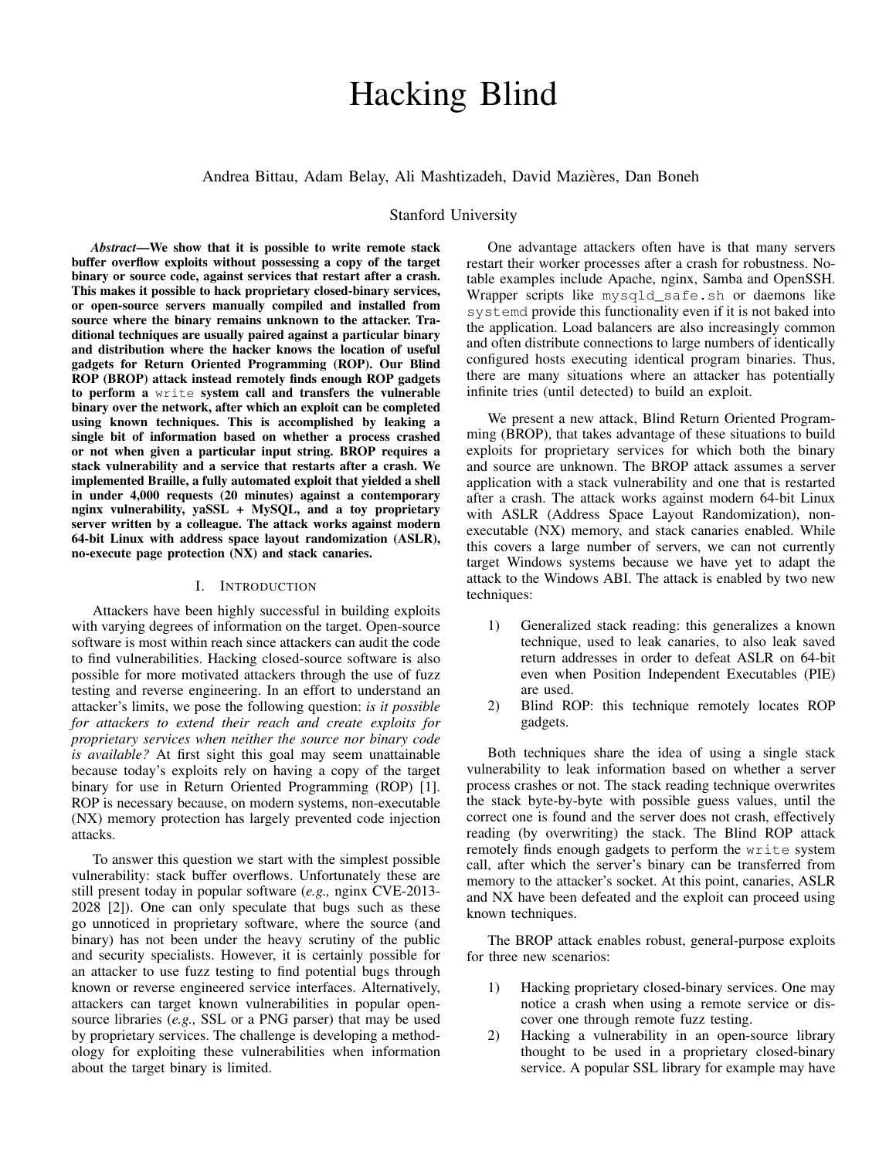# Hacking Blind

# Andrea Bittau, Adam Belay, Ali Mashtizadeh, David Mazieres, Dan Boneh `

# Stanford University

*Abstract*—We show that it is possible to write remote stack buffer overflow exploits without possessing a copy of the target binary or source code, against services that restart after a crash. This makes it possible to hack proprietary closed-binary services, or open-source servers manually compiled and installed from source where the binary remains unknown to the attacker. Traditional techniques are usually paired against a particular binary and distribution where the hacker knows the location of useful gadgets for Return Oriented Programming (ROP). Our Blind ROP (BROP) attack instead remotely finds enough ROP gadgets to perform a write system call and transfers the vulnerable binary over the network, after which an exploit can be completed using known techniques. This is accomplished by leaking a single bit of information based on whether a process crashed or not when given a particular input string. BROP requires a stack vulnerability and a service that restarts after a crash. We implemented Braille, a fully automated exploit that yielded a shell in under 4,000 requests (20 minutes) against a contemporary nginx vulnerability, yaSSL + MySQL, and a toy proprietary server written by a colleague. The attack works against modern 64-bit Linux with address space layout randomization (ASLR), no-execute page protection (NX) and stack canaries.

# I. INTRODUCTION

Attackers have been highly successful in building exploits with varying degrees of information on the target. Open-source software is most within reach since attackers can audit the code to find vulnerabilities. Hacking closed-source software is also possible for more motivated attackers through the use of fuzz testing and reverse engineering. In an effort to understand an attacker's limits, we pose the following question: *is it possible for attackers to extend their reach and create exploits for proprietary services when neither the source nor binary code is available?* At first sight this goal may seem unattainable because today's exploits rely on having a copy of the target binary for use in Return Oriented Programming (ROP) [\[1\]](#page-15-0). ROP is necessary because, on modern systems, non-executable (NX) memory protection has largely prevented code injection attacks.

To answer this question we start with the simplest possible vulnerability: stack buffer overflows. Unfortunately these are still present today in popular software (*e.g.,* nginx CVE-2013- 2028 [\[2\]](#page-15-1)). One can only speculate that bugs such as these go unnoticed in proprietary software, where the source (and binary) has not been under the heavy scrutiny of the public and security specialists. However, it is certainly possible for an attacker to use fuzz testing to find potential bugs through known or reverse engineered service interfaces. Alternatively, attackers can target known vulnerabilities in popular opensource libraries (*e.g.,* SSL or a PNG parser) that may be used by proprietary services. The challenge is developing a methodology for exploiting these vulnerabilities when information about the target binary is limited.

One advantage attackers often have is that many servers restart their worker processes after a crash for robustness. Notable examples include Apache, nginx, Samba and OpenSSH. Wrapper scripts like mysqld\_safe.sh or daemons like systemd provide this functionality even if it is not baked into the application. Load balancers are also increasingly common and often distribute connections to large numbers of identically configured hosts executing identical program binaries. Thus, there are many situations where an attacker has potentially infinite tries (until detected) to build an exploit.

We present a new attack, Blind Return Oriented Programming (BROP), that takes advantage of these situations to build exploits for proprietary services for which both the binary and source are unknown. The BROP attack assumes a server application with a stack vulnerability and one that is restarted after a crash. The attack works against modern 64-bit Linux with ASLR (Address Space Layout Randomization), nonexecutable (NX) memory, and stack canaries enabled. While this covers a large number of servers, we can not currently target Windows systems because we have yet to adapt the attack to the Windows ABI. The attack is enabled by two new techniques:

- 1) Generalized stack reading: this generalizes a known technique, used to leak canaries, to also leak saved return addresses in order to defeat ASLR on 64-bit even when Position Independent Executables (PIE) are used.
- 2) Blind ROP: this technique remotely locates ROP gadgets.

Both techniques share the idea of using a single stack vulnerability to leak information based on whether a server process crashes or not. The stack reading technique overwrites the stack byte-by-byte with possible guess values, until the correct one is found and the server does not crash, effectively reading (by overwriting) the stack. The Blind ROP attack remotely finds enough gadgets to perform the write system call, after which the server's binary can be transferred from memory to the attacker's socket. At this point, canaries, ASLR and NX have been defeated and the exploit can proceed using known techniques.

The BROP attack enables robust, general-purpose exploits for three new scenarios:

- 1) Hacking proprietary closed-binary services. One may notice a crash when using a remote service or discover one through remote fuzz testing.
- 2) Hacking a vulnerability in an open-source library thought to be used in a proprietary closed-binary service. A popular SSL library for example may have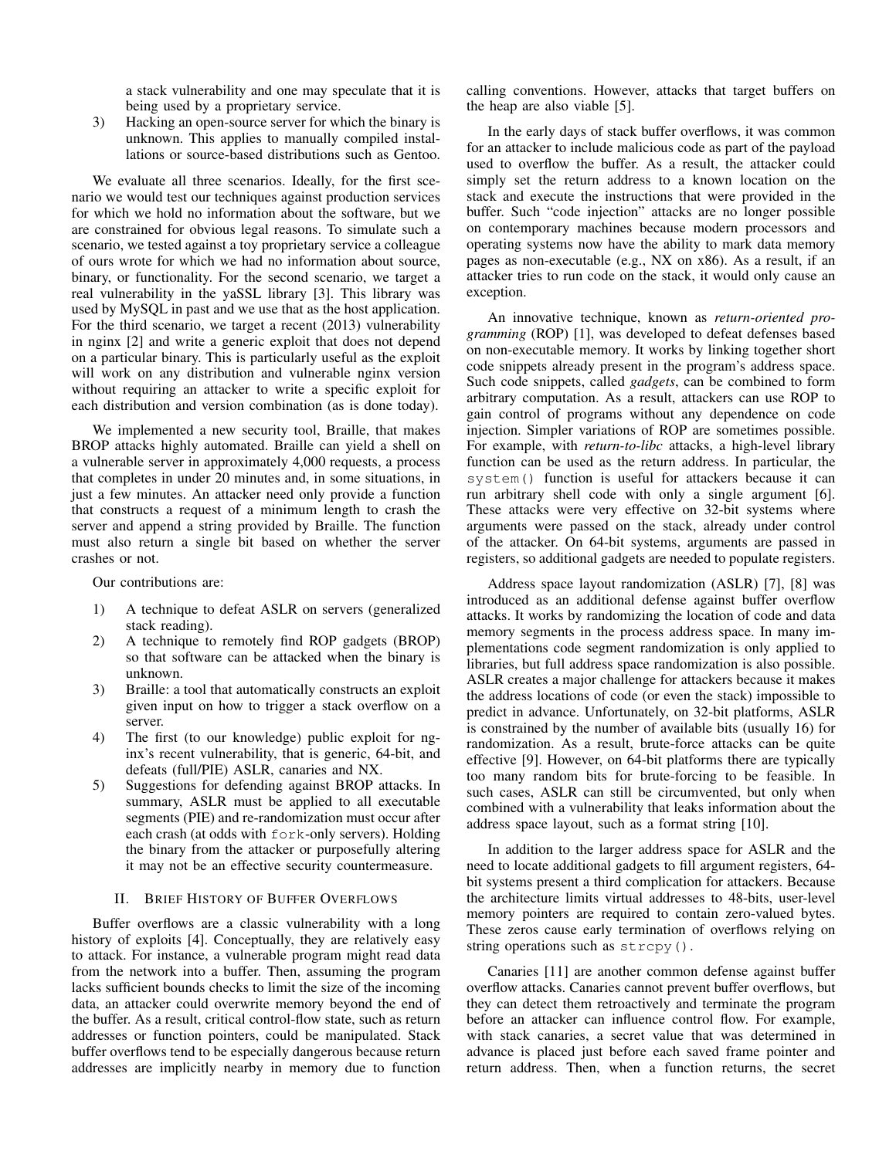a stack vulnerability and one may speculate that it is being used by a proprietary service.

3) Hacking an open-source server for which the binary is unknown. This applies to manually compiled installations or source-based distributions such as Gentoo.

We evaluate all three scenarios. Ideally, for the first scenario we would test our techniques against production services for which we hold no information about the software, but we are constrained for obvious legal reasons. To simulate such a scenario, we tested against a toy proprietary service a colleague of ours wrote for which we had no information about source, binary, or functionality. For the second scenario, we target a real vulnerability in the yaSSL library [\[3\]](#page-15-2). This library was used by MySQL in past and we use that as the host application. For the third scenario, we target a recent (2013) vulnerability in nginx [\[2\]](#page-15-1) and write a generic exploit that does not depend on a particular binary. This is particularly useful as the exploit will work on any distribution and vulnerable nginx version without requiring an attacker to write a specific exploit for each distribution and version combination (as is done today).

We implemented a new security tool, Braille, that makes BROP attacks highly automated. Braille can yield a shell on a vulnerable server in approximately 4,000 requests, a process that completes in under 20 minutes and, in some situations, in just a few minutes. An attacker need only provide a function that constructs a request of a minimum length to crash the server and append a string provided by Braille. The function must also return a single bit based on whether the server crashes or not.

Our contributions are:

- 1) A technique to defeat ASLR on servers (generalized stack reading).
- 2) A technique to remotely find ROP gadgets (BROP) so that software can be attacked when the binary is unknown.
- 3) Braille: a tool that automatically constructs an exploit given input on how to trigger a stack overflow on a server.
- 4) The first (to our knowledge) public exploit for nginx's recent vulnerability, that is generic, 64-bit, and defeats (full/PIE) ASLR, canaries and NX.
- 5) Suggestions for defending against BROP attacks. In summary, ASLR must be applied to all executable segments (PIE) and re-randomization must occur after each crash (at odds with fork-only servers). Holding the binary from the attacker or purposefully altering it may not be an effective security countermeasure.

# II. BRIEF HISTORY OF BUFFER OVERFLOWS

Buffer overflows are a classic vulnerability with a long history of exploits [\[4\]](#page-15-3). Conceptually, they are relatively easy to attack. For instance, a vulnerable program might read data from the network into a buffer. Then, assuming the program lacks sufficient bounds checks to limit the size of the incoming data, an attacker could overwrite memory beyond the end of the buffer. As a result, critical control-flow state, such as return addresses or function pointers, could be manipulated. Stack buffer overflows tend to be especially dangerous because return addresses are implicitly nearby in memory due to function calling conventions. However, attacks that target buffers on the heap are also viable [\[5\]](#page-15-4).

In the early days of stack buffer overflows, it was common for an attacker to include malicious code as part of the payload used to overflow the buffer. As a result, the attacker could simply set the return address to a known location on the stack and execute the instructions that were provided in the buffer. Such "code injection" attacks are no longer possible on contemporary machines because modern processors and operating systems now have the ability to mark data memory pages as non-executable (e.g., NX on x86). As a result, if an attacker tries to run code on the stack, it would only cause an exception.

An innovative technique, known as *return-oriented programming* (ROP) [\[1\]](#page-15-0), was developed to defeat defenses based on non-executable memory. It works by linking together short code snippets already present in the program's address space. Such code snippets, called *gadgets*, can be combined to form arbitrary computation. As a result, attackers can use ROP to gain control of programs without any dependence on code injection. Simpler variations of ROP are sometimes possible. For example, with *return-to-libc* attacks, a high-level library function can be used as the return address. In particular, the system() function is useful for attackers because it can run arbitrary shell code with only a single argument [\[6\]](#page-15-5). These attacks were very effective on 32-bit systems where arguments were passed on the stack, already under control of the attacker. On 64-bit systems, arguments are passed in registers, so additional gadgets are needed to populate registers.

Address space layout randomization (ASLR) [\[7\]](#page-15-6), [\[8\]](#page-15-7) was introduced as an additional defense against buffer overflow attacks. It works by randomizing the location of code and data memory segments in the process address space. In many implementations code segment randomization is only applied to libraries, but full address space randomization is also possible. ASLR creates a major challenge for attackers because it makes the address locations of code (or even the stack) impossible to predict in advance. Unfortunately, on 32-bit platforms, ASLR is constrained by the number of available bits (usually 16) for randomization. As a result, brute-force attacks can be quite effective [\[9\]](#page-15-8). However, on 64-bit platforms there are typically too many random bits for brute-forcing to be feasible. In such cases, ASLR can still be circumvented, but only when combined with a vulnerability that leaks information about the address space layout, such as a format string [\[10\]](#page-15-9).

In addition to the larger address space for ASLR and the need to locate additional gadgets to fill argument registers, 64 bit systems present a third complication for attackers. Because the architecture limits virtual addresses to 48-bits, user-level memory pointers are required to contain zero-valued bytes. These zeros cause early termination of overflows relying on string operations such as strcpy().

Canaries [\[11\]](#page-15-10) are another common defense against buffer overflow attacks. Canaries cannot prevent buffer overflows, but they can detect them retroactively and terminate the program before an attacker can influence control flow. For example, with stack canaries, a secret value that was determined in advance is placed just before each saved frame pointer and return address. Then, when a function returns, the secret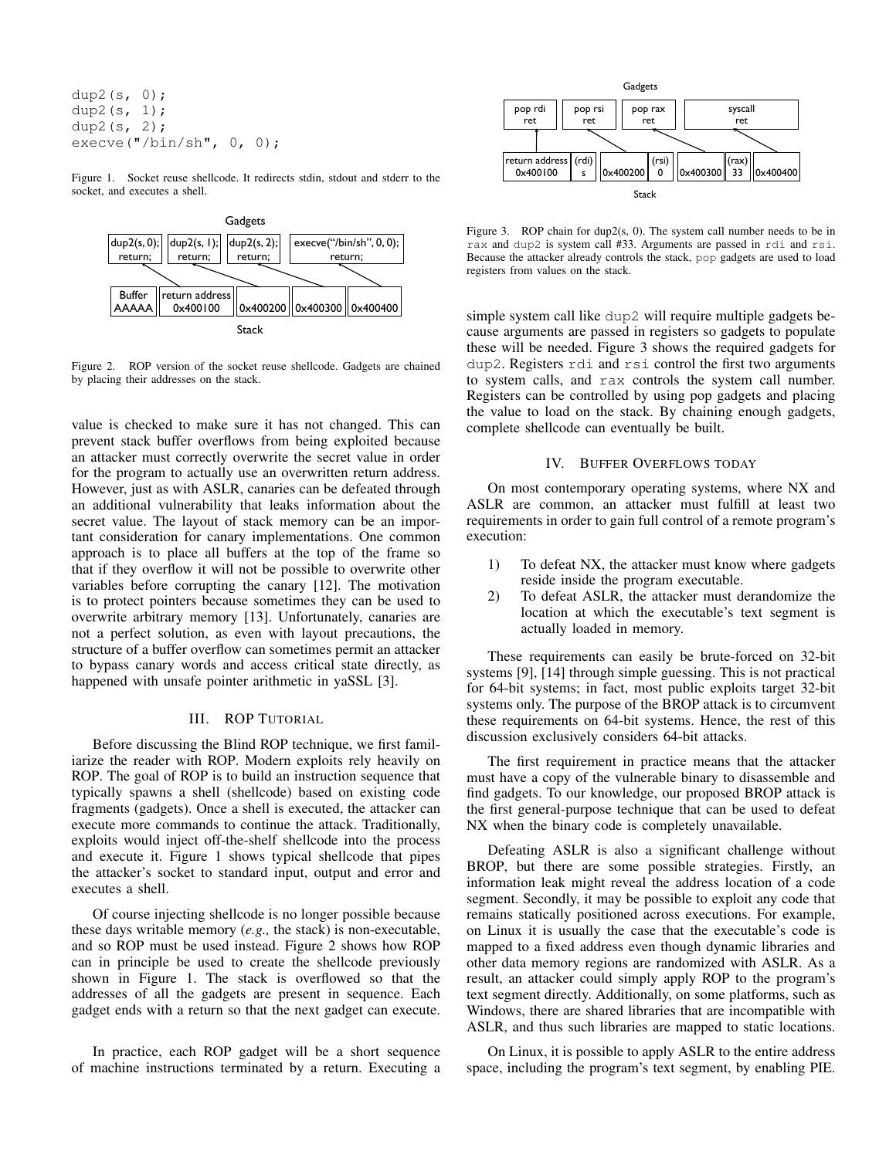dup2(s, 0); dup2 $(s, 1);$ dup2 $(s, 2)$ ; execve("/ $bin/sh$ ", 0, 0);

Figure 1. Socket reuse shellcode. It redirects stdin, stdout and stderr to the socket, and executes a shell.

<span id="page-2-0"></span>

<span id="page-2-1"></span>Figure 2. ROP version of the socket reuse shellcode. Gadgets are chained by placing their addresses on the stack.

value is checked to make sure it has not changed. This can prevent stack buffer overflows from being exploited because an attacker must correctly overwrite the secret value in order for the program to actually use an overwritten return address. However, just as with ASLR, canaries can be defeated through an additional vulnerability that leaks information about the secret value. The layout of stack memory can be an important consideration for canary implementations. One common approach is to place all buffers at the top of the frame so that if they overflow it will not be possible to overwrite other variables before corrupting the canary [\[12\]](#page-15-11). The motivation is to protect pointers because sometimes they can be used to overwrite arbitrary memory [\[13\]](#page-15-12). Unfortunately, canaries are not a perfect solution, as even with layout precautions, the structure of a buffer overflow can sometimes permit an attacker to bypass canary words and access critical state directly, as happened with unsafe pointer arithmetic in yaSSL [\[3\]](#page-15-2).

## III. ROP TUTORIAL

Before discussing the Blind ROP technique, we first familiarize the reader with ROP. Modern exploits rely heavily on ROP. The goal of ROP is to build an instruction sequence that typically spawns a shell (shellcode) based on existing code fragments (gadgets). Once a shell is executed, the attacker can execute more commands to continue the attack. Traditionally, exploits would inject off-the-shelf shellcode into the process and execute it. Figure [1](#page-2-0) shows typical shellcode that pipes the attacker's socket to standard input, output and error and executes a shell.

Of course injecting shellcode is no longer possible because these days writable memory (*e.g.,* the stack) is non-executable, and so ROP must be used instead. Figure [2](#page-2-1) shows how ROP can in principle be used to create the shellcode previously shown in Figure [1.](#page-2-0) The stack is overflowed so that the addresses of all the gadgets are present in sequence. Each gadget ends with a return so that the next gadget can execute.

In practice, each ROP gadget will be a short sequence of machine instructions terminated by a return. Executing a



<span id="page-2-2"></span>Figure 3. ROP chain for dup2(s, 0). The system call number needs to be in rax and dup2 is system call #33. Arguments are passed in rdi and rsi. Because the attacker already controls the stack, pop gadgets are used to load registers from values on the stack.

simple system call like dup2 will require multiple gadgets because arguments are passed in registers so gadgets to populate these will be needed. Figure [3](#page-2-2) shows the required gadgets for dup2. Registers rdi and rsi control the first two arguments to system calls, and rax controls the system call number. Registers can be controlled by using pop gadgets and placing the value to load on the stack. By chaining enough gadgets, complete shellcode can eventually be built.

## IV. BUFFER OVERFLOWS TODAY

On most contemporary operating systems, where NX and ASLR are common, an attacker must fulfill at least two requirements in order to gain full control of a remote program's execution:

- 1) To defeat NX, the attacker must know where gadgets reside inside the program executable.
- 2) To defeat ASLR, the attacker must derandomize the location at which the executable's text segment is actually loaded in memory.

These requirements can easily be brute-forced on 32-bit systems [\[9\]](#page-15-8), [\[14\]](#page-15-13) through simple guessing. This is not practical for 64-bit systems; in fact, most public exploits target 32-bit systems only. The purpose of the BROP attack is to circumvent these requirements on 64-bit systems. Hence, the rest of this discussion exclusively considers 64-bit attacks.

The first requirement in practice means that the attacker must have a copy of the vulnerable binary to disassemble and find gadgets. To our knowledge, our proposed BROP attack is the first general-purpose technique that can be used to defeat NX when the binary code is completely unavailable.

Defeating ASLR is also a significant challenge without BROP, but there are some possible strategies. Firstly, an information leak might reveal the address location of a code segment. Secondly, it may be possible to exploit any code that remains statically positioned across executions. For example, on Linux it is usually the case that the executable's code is mapped to a fixed address even though dynamic libraries and other data memory regions are randomized with ASLR. As a result, an attacker could simply apply ROP to the program's text segment directly. Additionally, on some platforms, such as Windows, there are shared libraries that are incompatible with ASLR, and thus such libraries are mapped to static locations.

On Linux, it is possible to apply ASLR to the entire address space, including the program's text segment, by enabling PIE.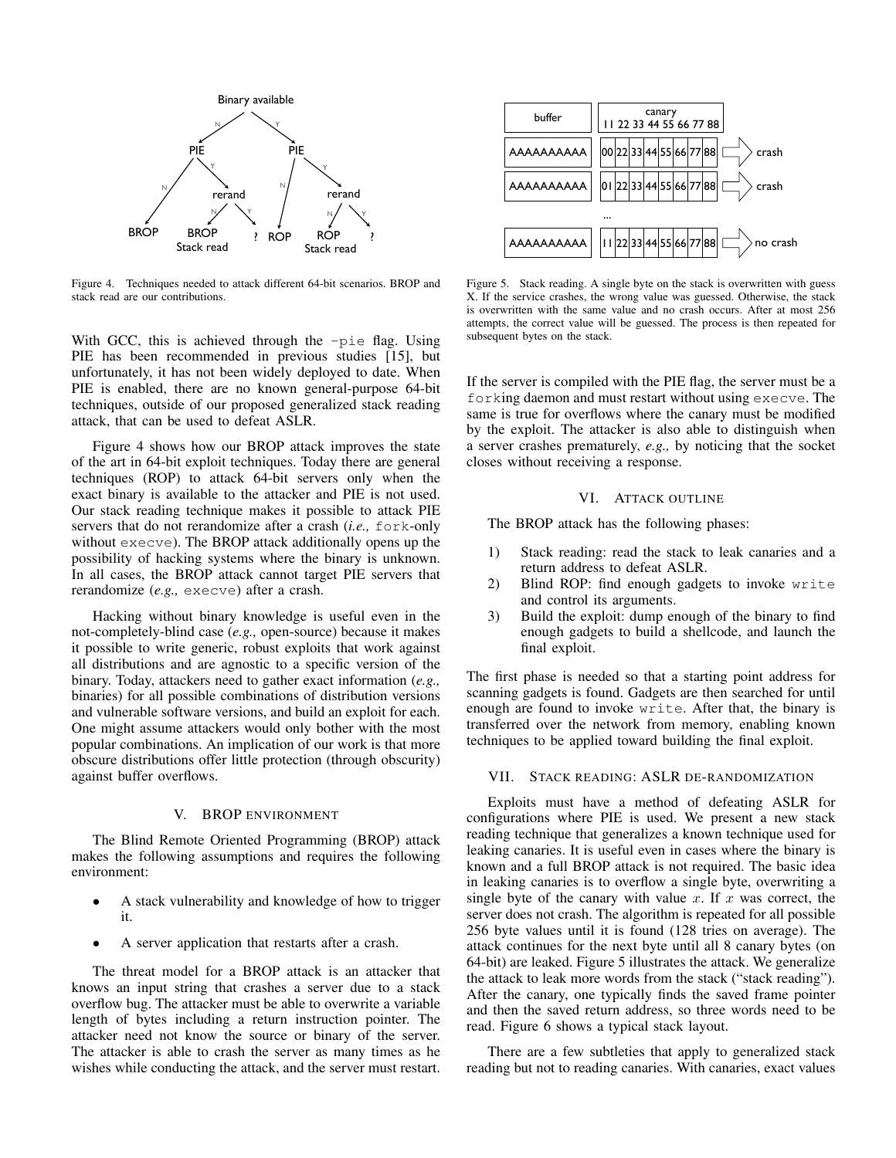

<span id="page-3-0"></span>Figure 4. Techniques needed to attack different 64-bit scenarios. BROP and stack read are our contributions.

With GCC, this is achieved through the  $-pi$  flag. Using PIE has been recommended in previous studies [\[15\]](#page-15-14), but unfortunately, it has not been widely deployed to date. When PIE is enabled, there are no known general-purpose 64-bit techniques, outside of our proposed generalized stack reading attack, that can be used to defeat ASLR.

Figure [4](#page-3-0) shows how our BROP attack improves the state of the art in 64-bit exploit techniques. Today there are general techniques (ROP) to attack 64-bit servers only when the exact binary is available to the attacker and PIE is not used. Our stack reading technique makes it possible to attack PIE servers that do not rerandomize after a crash (*i.e.,* fork-only without execve). The BROP attack additionally opens up the possibility of hacking systems where the binary is unknown. In all cases, the BROP attack cannot target PIE servers that rerandomize (*e.g.,* execve) after a crash.

Hacking without binary knowledge is useful even in the not-completely-blind case (*e.g.,* open-source) because it makes it possible to write generic, robust exploits that work against all distributions and are agnostic to a specific version of the binary. Today, attackers need to gather exact information (*e.g.,* binaries) for all possible combinations of distribution versions and vulnerable software versions, and build an exploit for each. One might assume attackers would only bother with the most popular combinations. An implication of our work is that more obscure distributions offer little protection (through obscurity) against buffer overflows.

## V. BROP ENVIRONMENT

The Blind Remote Oriented Programming (BROP) attack makes the following assumptions and requires the following environment:

- A stack vulnerability and knowledge of how to trigger it.
- A server application that restarts after a crash.

The threat model for a BROP attack is an attacker that knows an input string that crashes a server due to a stack overflow bug. The attacker must be able to overwrite a variable length of bytes including a return instruction pointer. The attacker need not know the source or binary of the server. The attacker is able to crash the server as many times as he wishes while conducting the attack, and the server must restart.



<span id="page-3-1"></span>Figure 5. Stack reading. A single byte on the stack is overwritten with guess X. If the service crashes, the wrong value was guessed. Otherwise, the stack is overwritten with the same value and no crash occurs. After at most 256 attempts, the correct value will be guessed. The process is then repeated for subsequent bytes on the stack.

If the server is compiled with the PIE flag, the server must be a forking daemon and must restart without using execve. The same is true for overflows where the canary must be modified by the exploit. The attacker is also able to distinguish when a server crashes prematurely, *e.g.,* by noticing that the socket closes without receiving a response.

# VI. ATTACK OUTLINE

The BROP attack has the following phases:

- 1) Stack reading: read the stack to leak canaries and a return address to defeat ASLR.
- 2) Blind ROP: find enough gadgets to invoke write and control its arguments.
- 3) Build the exploit: dump enough of the binary to find enough gadgets to build a shellcode, and launch the final exploit.

The first phase is needed so that a starting point address for scanning gadgets is found. Gadgets are then searched for until enough are found to invoke write. After that, the binary is transferred over the network from memory, enabling known techniques to be applied toward building the final exploit.

## VII. STACK READING: ASLR DE-RANDOMIZATION

Exploits must have a method of defeating ASLR for configurations where PIE is used. We present a new stack reading technique that generalizes a known technique used for leaking canaries. It is useful even in cases where the binary is known and a full BROP attack is not required. The basic idea in leaking canaries is to overflow a single byte, overwriting a single byte of the canary with value x. If x was correct, the server does not crash. The algorithm is repeated for all possible 256 byte values until it is found (128 tries on average). The attack continues for the next byte until all 8 canary bytes (on 64-bit) are leaked. Figure [5](#page-3-1) illustrates the attack. We generalize the attack to leak more words from the stack ("stack reading"). After the canary, one typically finds the saved frame pointer and then the saved return address, so three words need to be read. Figure [6](#page-4-0) shows a typical stack layout.

There are a few subtleties that apply to generalized stack reading but not to reading canaries. With canaries, exact values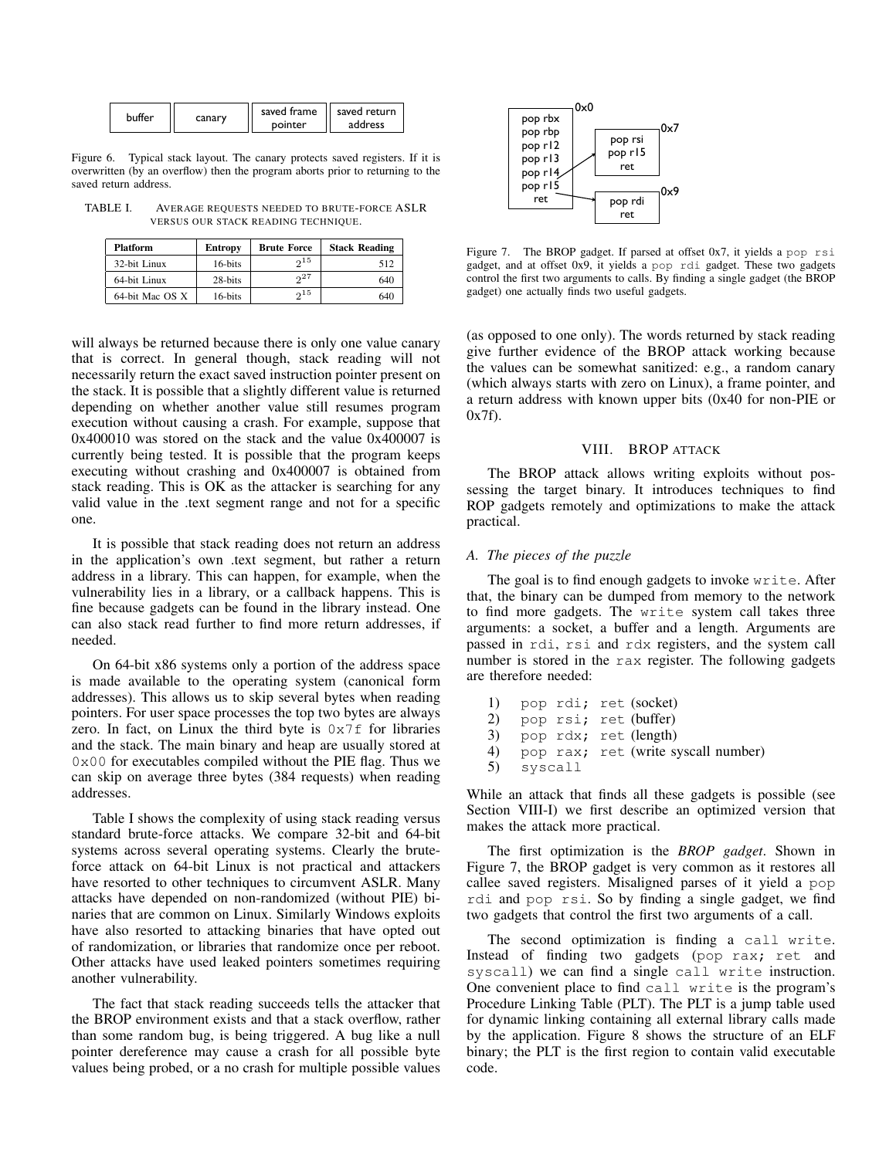<span id="page-4-0"></span>

| buffer | canary |         | saved frame   saved return |
|--------|--------|---------|----------------------------|
|        |        | pointer | address                    |

Figure 6. Typical stack layout. The canary protects saved registers. If it is overwritten (by an overflow) then the program aborts prior to returning to the saved return address.

TABLE I. AVERAGE REQUESTS NEEDED TO BRUTE-FORCE ASLR VERSUS OUR STACK READING TECHNIQUE.

<span id="page-4-1"></span>

| <b>Platform</b> | <b>Entropy</b> | <b>Brute Force</b> | <b>Stack Reading</b> |
|-----------------|----------------|--------------------|----------------------|
| 32-bit Linux    | 16-bits        | $2^{15}$           | 512                  |
| 64-bit Linux    | 28-bits        | 27                 | 640                  |
| 64-bit Mac OS X | 16-bits        | $2^{15}$           | 640                  |

will always be returned because there is only one value canary that is correct. In general though, stack reading will not necessarily return the exact saved instruction pointer present on the stack. It is possible that a slightly different value is returned depending on whether another value still resumes program execution without causing a crash. For example, suppose that 0x400010 was stored on the stack and the value 0x400007 is currently being tested. It is possible that the program keeps executing without crashing and 0x400007 is obtained from stack reading. This is OK as the attacker is searching for any valid value in the .text segment range and not for a specific one.

It is possible that stack reading does not return an address in the application's own .text segment, but rather a return address in a library. This can happen, for example, when the vulnerability lies in a library, or a callback happens. This is fine because gadgets can be found in the library instead. One can also stack read further to find more return addresses, if needed.

On 64-bit x86 systems only a portion of the address space is made available to the operating system (canonical form addresses). This allows us to skip several bytes when reading pointers. For user space processes the top two bytes are always zero. In fact, on Linux the third byte is  $0 \times 7f$  for libraries and the stack. The main binary and heap are usually stored at  $0 \times 00$  for executables compiled without the PIE flag. Thus we can skip on average three bytes (384 requests) when reading addresses.

Table [I](#page-4-1) shows the complexity of using stack reading versus standard brute-force attacks. We compare 32-bit and 64-bit systems across several operating systems. Clearly the bruteforce attack on 64-bit Linux is not practical and attackers have resorted to other techniques to circumvent ASLR. Many attacks have depended on non-randomized (without PIE) binaries that are common on Linux. Similarly Windows exploits have also resorted to attacking binaries that have opted out of randomization, or libraries that randomize once per reboot. Other attacks have used leaked pointers sometimes requiring another vulnerability.

The fact that stack reading succeeds tells the attacker that the BROP environment exists and that a stack overflow, rather than some random bug, is being triggered. A bug like a null pointer dereference may cause a crash for all possible byte values being probed, or a no crash for multiple possible values



<span id="page-4-2"></span>Figure 7. The BROP gadget. If parsed at offset 0x7, it yields a pop rsi gadget, and at offset 0x9, it yields a pop rdi gadget. These two gadgets control the first two arguments to calls. By finding a single gadget (the BROP gadget) one actually finds two useful gadgets.

(as opposed to one only). The words returned by stack reading give further evidence of the BROP attack working because the values can be somewhat sanitized: e.g., a random canary (which always starts with zero on Linux), a frame pointer, and a return address with known upper bits (0x40 for non-PIE or  $0x7f$ 

# VIII. BROP ATTACK

The BROP attack allows writing exploits without possessing the target binary. It introduces techniques to find ROP gadgets remotely and optimizations to make the attack practical.

# <span id="page-4-3"></span>*A. The pieces of the puzzle*

The goal is to find enough gadgets to invoke write. After that, the binary can be dumped from memory to the network to find more gadgets. The write system call takes three arguments: a socket, a buffer and a length. Arguments are passed in rdi, rsi and rdx registers, and the system call number is stored in the rax register. The following gadgets are therefore needed:

1) pop rdi; ret (socket) 2) pop rsi; ret (buffer) 3) pop rdx; ret (length)<br>4) pop rax: ret (write sy 4) pop rax; ret (write syscall number) 5) syscall

While an attack that finds all these gadgets is possible (see Section [VIII-I\)](#page-7-0) we first describe an optimized version that makes the attack more practical.

The first optimization is the *BROP gadget*. Shown in Figure [7,](#page-4-2) the BROP gadget is very common as it restores all callee saved registers. Misaligned parses of it yield a pop rdi and pop rsi. So by finding a single gadget, we find two gadgets that control the first two arguments of a call.

The second optimization is finding a call write. Instead of finding two gadgets (pop rax; ret and syscall) we can find a single call write instruction. One convenient place to find call write is the program's Procedure Linking Table (PLT). The PLT is a jump table used for dynamic linking containing all external library calls made by the application. Figure [8](#page-5-0) shows the structure of an ELF binary; the PLT is the first region to contain valid executable code.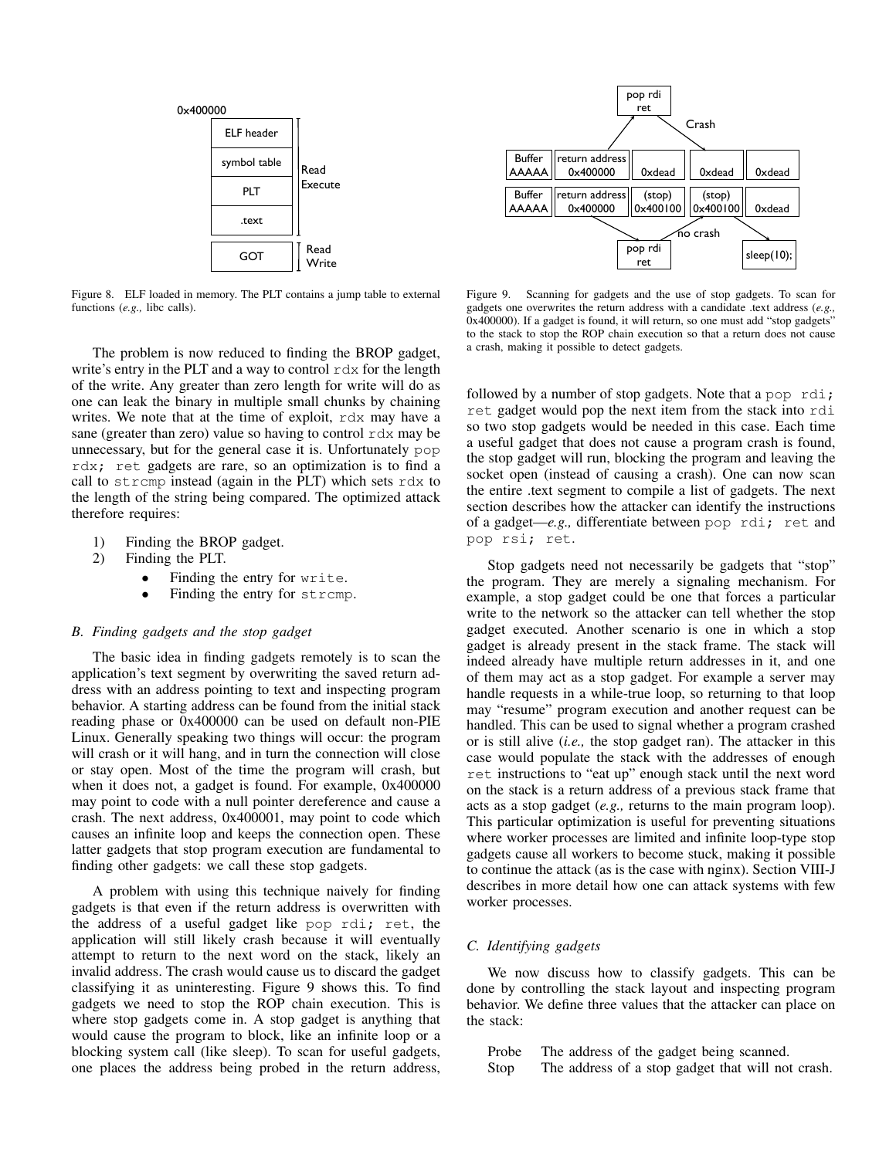

<span id="page-5-0"></span>Figure 8. ELF loaded in memory. The PLT contains a jump table to external functions (*e.g.,* libc calls).

The problem is now reduced to finding the BROP gadget, write's entry in the PLT and a way to control  $r dx$  for the length of the write. Any greater than zero length for write will do as one can leak the binary in multiple small chunks by chaining writes. We note that at the time of exploit, rdx may have a sane (greater than zero) value so having to control rdx may be unnecessary, but for the general case it is. Unfortunately pop rdx; ret gadgets are rare, so an optimization is to find a call to strcmp instead (again in the PLT) which sets rdx to the length of the string being compared. The optimized attack therefore requires:

- 1) Finding the BROP gadget.
- 2) Finding the PLT.
	- Finding the entry for write.
	- Finding the entry for strcmp.

## *B. Finding gadgets and the stop gadget*

The basic idea in finding gadgets remotely is to scan the application's text segment by overwriting the saved return address with an address pointing to text and inspecting program behavior. A starting address can be found from the initial stack reading phase or 0x400000 can be used on default non-PIE Linux. Generally speaking two things will occur: the program will crash or it will hang, and in turn the connection will close or stay open. Most of the time the program will crash, but when it does not, a gadget is found. For example, 0x400000 may point to code with a null pointer dereference and cause a crash. The next address, 0x400001, may point to code which causes an infinite loop and keeps the connection open. These latter gadgets that stop program execution are fundamental to finding other gadgets: we call these stop gadgets.

A problem with using this technique naively for finding gadgets is that even if the return address is overwritten with the address of a useful gadget like pop rdi; ret, the application will still likely crash because it will eventually attempt to return to the next word on the stack, likely an invalid address. The crash would cause us to discard the gadget classifying it as uninteresting. Figure [9](#page-5-1) shows this. To find gadgets we need to stop the ROP chain execution. This is where stop gadgets come in. A stop gadget is anything that would cause the program to block, like an infinite loop or a blocking system call (like sleep). To scan for useful gadgets, one places the address being probed in the return address,



<span id="page-5-1"></span>Figure 9. Scanning for gadgets and the use of stop gadgets. To scan for gadgets one overwrites the return address with a candidate .text address (*e.g.,* 0x400000). If a gadget is found, it will return, so one must add "stop gadgets" to the stack to stop the ROP chain execution so that a return does not cause a crash, making it possible to detect gadgets.

followed by a number of stop gadgets. Note that a pop rdi; ret gadget would pop the next item from the stack into rdi so two stop gadgets would be needed in this case. Each time a useful gadget that does not cause a program crash is found, the stop gadget will run, blocking the program and leaving the socket open (instead of causing a crash). One can now scan the entire .text segment to compile a list of gadgets. The next section describes how the attacker can identify the instructions of a gadget—*e.g.,* differentiate between pop rdi; ret and pop rsi; ret.

Stop gadgets need not necessarily be gadgets that "stop" the program. They are merely a signaling mechanism. For example, a stop gadget could be one that forces a particular write to the network so the attacker can tell whether the stop gadget executed. Another scenario is one in which a stop gadget is already present in the stack frame. The stack will indeed already have multiple return addresses in it, and one of them may act as a stop gadget. For example a server may handle requests in a while-true loop, so returning to that loop may "resume" program execution and another request can be handled. This can be used to signal whether a program crashed or is still alive (*i.e.,* the stop gadget ran). The attacker in this case would populate the stack with the addresses of enough ret instructions to "eat up" enough stack until the next word on the stack is a return address of a previous stack frame that acts as a stop gadget (*e.g.,* returns to the main program loop). This particular optimization is useful for preventing situations where worker processes are limited and infinite loop-type stop gadgets cause all workers to become stuck, making it possible to continue the attack (as is the case with nginx). Section [VIII-J](#page-8-0) describes in more detail how one can attack systems with few worker processes.

## *C. Identifying gadgets*

We now discuss how to classify gadgets. This can be done by controlling the stack layout and inspecting program behavior. We define three values that the attacker can place on the stack:

Probe The address of the gadget being scanned. Stop The address of a stop gadget that will not crash.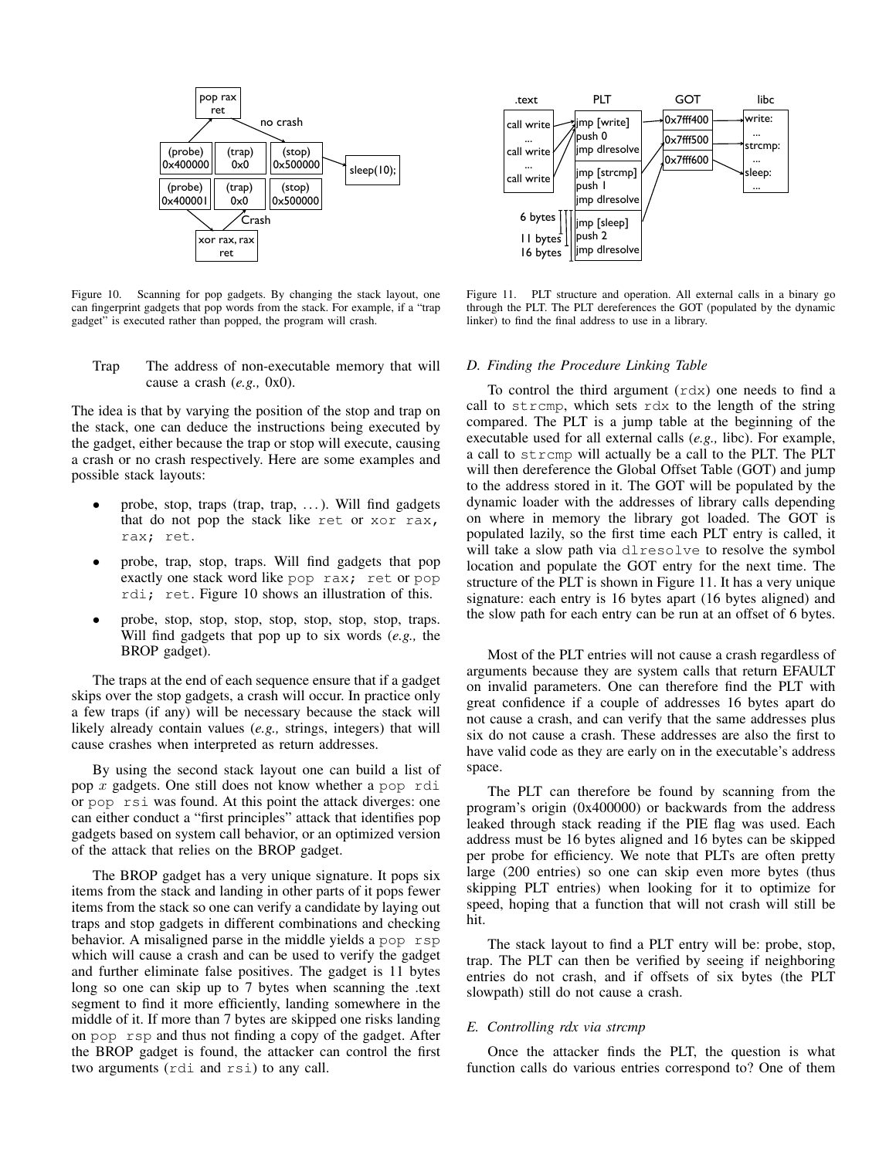

<span id="page-6-0"></span>Figure 10. Scanning for pop gadgets. By changing the stack layout, one can fingerprint gadgets that pop words from the stack. For example, if a "trap gadget" is executed rather than popped, the program will crash.

## Trap The address of non-executable memory that will cause a crash (*e.g.,* 0x0).

The idea is that by varying the position of the stop and trap on the stack, one can deduce the instructions being executed by the gadget, either because the trap or stop will execute, causing a crash or no crash respectively. Here are some examples and possible stack layouts:

- probe, stop, traps (trap, trap, . . . ). Will find gadgets that do not pop the stack like ret or xor rax, rax; ret.
- probe, trap, stop, traps. Will find gadgets that pop exactly one stack word like pop rax; ret or pop rdi; ret. Figure [10](#page-6-0) shows an illustration of this.
- probe, stop, stop, stop, stop, stop, stop, stop, traps. Will find gadgets that pop up to six words (*e.g.,* the BROP gadget).

The traps at the end of each sequence ensure that if a gadget skips over the stop gadgets, a crash will occur. In practice only a few traps (if any) will be necessary because the stack will likely already contain values (*e.g.,* strings, integers) that will cause crashes when interpreted as return addresses.

By using the second stack layout one can build a list of pop x gadgets. One still does not know whether a pop rdi or pop rsi was found. At this point the attack diverges: one can either conduct a "first principles" attack that identifies pop gadgets based on system call behavior, or an optimized version of the attack that relies on the BROP gadget.

The BROP gadget has a very unique signature. It pops six items from the stack and landing in other parts of it pops fewer items from the stack so one can verify a candidate by laying out traps and stop gadgets in different combinations and checking behavior. A misaligned parse in the middle yields a pop rsp which will cause a crash and can be used to verify the gadget and further eliminate false positives. The gadget is 11 bytes long so one can skip up to 7 bytes when scanning the .text segment to find it more efficiently, landing somewhere in the middle of it. If more than 7 bytes are skipped one risks landing on pop rsp and thus not finding a copy of the gadget. After the BROP gadget is found, the attacker can control the first two arguments (rdi and rsi) to any call.



<span id="page-6-1"></span>Figure 11. PLT structure and operation. All external calls in a binary go through the PLT. The PLT dereferences the GOT (populated by the dynamic linker) to find the final address to use in a library.

## *D. Finding the Procedure Linking Table*

To control the third argument (rdx) one needs to find a call to strcmp, which sets rdx to the length of the string compared. The PLT is a jump table at the beginning of the executable used for all external calls (*e.g.,* libc). For example, a call to strcmp will actually be a call to the PLT. The PLT will then dereference the Global Offset Table (GOT) and jump to the address stored in it. The GOT will be populated by the dynamic loader with the addresses of library calls depending on where in memory the library got loaded. The GOT is populated lazily, so the first time each PLT entry is called, it will take a slow path via dlresolve to resolve the symbol location and populate the GOT entry for the next time. The structure of the PLT is shown in Figure [11.](#page-6-1) It has a very unique signature: each entry is 16 bytes apart (16 bytes aligned) and the slow path for each entry can be run at an offset of 6 bytes.

Most of the PLT entries will not cause a crash regardless of arguments because they are system calls that return EFAULT on invalid parameters. One can therefore find the PLT with great confidence if a couple of addresses 16 bytes apart do not cause a crash, and can verify that the same addresses plus six do not cause a crash. These addresses are also the first to have valid code as they are early on in the executable's address space.

The PLT can therefore be found by scanning from the program's origin (0x400000) or backwards from the address leaked through stack reading if the PIE flag was used. Each address must be 16 bytes aligned and 16 bytes can be skipped per probe for efficiency. We note that PLTs are often pretty large (200 entries) so one can skip even more bytes (thus skipping PLT entries) when looking for it to optimize for speed, hoping that a function that will not crash will still be hit.

The stack layout to find a PLT entry will be: probe, stop, trap. The PLT can then be verified by seeing if neighboring entries do not crash, and if offsets of six bytes (the PLT slowpath) still do not cause a crash.

## *E. Controlling rdx via strcmp*

Once the attacker finds the PLT, the question is what function calls do various entries correspond to? One of them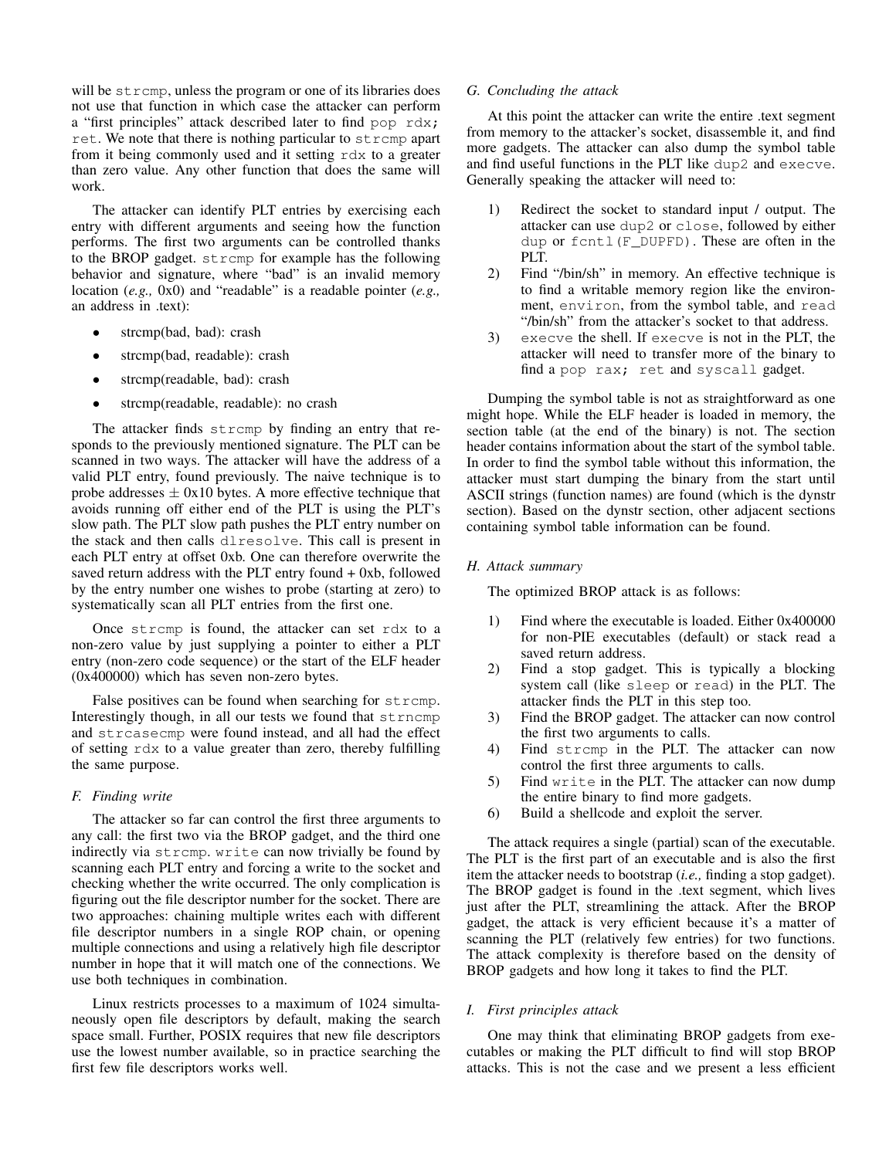will be strcmp, unless the program or one of its libraries does not use that function in which case the attacker can perform a "first principles" attack described later to find pop rdx; ret. We note that there is nothing particular to strcmp apart from it being commonly used and it setting rdx to a greater than zero value. Any other function that does the same will work.

The attacker can identify PLT entries by exercising each entry with different arguments and seeing how the function performs. The first two arguments can be controlled thanks to the BROP gadget. strcmp for example has the following behavior and signature, where "bad" is an invalid memory location (*e.g.,* 0x0) and "readable" is a readable pointer (*e.g.,* an address in .text):

- strcmp(bad, bad): crash
- strcmp(bad, readable): crash
- strcmp(readable, bad): crash
- strcmp(readable, readable): no crash

The attacker finds strcmp by finding an entry that responds to the previously mentioned signature. The PLT can be scanned in two ways. The attacker will have the address of a valid PLT entry, found previously. The naive technique is to probe addresses  $\pm$  0x10 bytes. A more effective technique that avoids running off either end of the PLT is using the PLT's slow path. The PLT slow path pushes the PLT entry number on the stack and then calls dlresolve. This call is present in each PLT entry at offset 0xb. One can therefore overwrite the saved return address with the PLT entry found + 0xb, followed by the entry number one wishes to probe (starting at zero) to systematically scan all PLT entries from the first one.

Once strcmp is found, the attacker can set rdx to a non-zero value by just supplying a pointer to either a PLT entry (non-zero code sequence) or the start of the ELF header (0x400000) which has seven non-zero bytes.

False positives can be found when searching for strcmp. Interestingly though, in all our tests we found that strncmp and strcasecmp were found instead, and all had the effect of setting rdx to a value greater than zero, thereby fulfilling the same purpose.

# *F. Finding write*

The attacker so far can control the first three arguments to any call: the first two via the BROP gadget, and the third one indirectly via strcmp. write can now trivially be found by scanning each PLT entry and forcing a write to the socket and checking whether the write occurred. The only complication is figuring out the file descriptor number for the socket. There are two approaches: chaining multiple writes each with different file descriptor numbers in a single ROP chain, or opening multiple connections and using a relatively high file descriptor number in hope that it will match one of the connections. We use both techniques in combination.

Linux restricts processes to a maximum of 1024 simultaneously open file descriptors by default, making the search space small. Further, POSIX requires that new file descriptors use the lowest number available, so in practice searching the first few file descriptors works well.

## *G. Concluding the attack*

At this point the attacker can write the entire .text segment from memory to the attacker's socket, disassemble it, and find more gadgets. The attacker can also dump the symbol table and find useful functions in the PLT like dup2 and execve. Generally speaking the attacker will need to:

- 1) Redirect the socket to standard input / output. The attacker can use dup2 or close, followed by either dup or fcntl(F\_DUPFD). These are often in the PLT.
- 2) Find "/bin/sh" in memory. An effective technique is to find a writable memory region like the environment, environ, from the symbol table, and read "/bin/sh" from the attacker's socket to that address.
- 3) execve the shell. If execve is not in the PLT, the attacker will need to transfer more of the binary to find a pop rax; ret and syscall gadget.

Dumping the symbol table is not as straightforward as one might hope. While the ELF header is loaded in memory, the section table (at the end of the binary) is not. The section header contains information about the start of the symbol table. In order to find the symbol table without this information, the attacker must start dumping the binary from the start until ASCII strings (function names) are found (which is the dynstr section). Based on the dynstr section, other adjacent sections containing symbol table information can be found.

## *H. Attack summary*

The optimized BROP attack is as follows:

- 1) Find where the executable is loaded. Either 0x400000 for non-PIE executables (default) or stack read a saved return address.
- 2) Find a stop gadget. This is typically a blocking system call (like sleep or read) in the PLT. The attacker finds the PLT in this step too.
- 3) Find the BROP gadget. The attacker can now control the first two arguments to calls.
- 4) Find strcmp in the PLT. The attacker can now control the first three arguments to calls.
- 5) Find write in the PLT. The attacker can now dump the entire binary to find more gadgets.
- 6) Build a shellcode and exploit the server.

The attack requires a single (partial) scan of the executable. The PLT is the first part of an executable and is also the first item the attacker needs to bootstrap (*i.e.,* finding a stop gadget). The BROP gadget is found in the .text segment, which lives just after the PLT, streamlining the attack. After the BROP gadget, the attack is very efficient because it's a matter of scanning the PLT (relatively few entries) for two functions. The attack complexity is therefore based on the density of BROP gadgets and how long it takes to find the PLT.

## <span id="page-7-0"></span>*I. First principles attack*

One may think that eliminating BROP gadgets from executables or making the PLT difficult to find will stop BROP attacks. This is not the case and we present a less efficient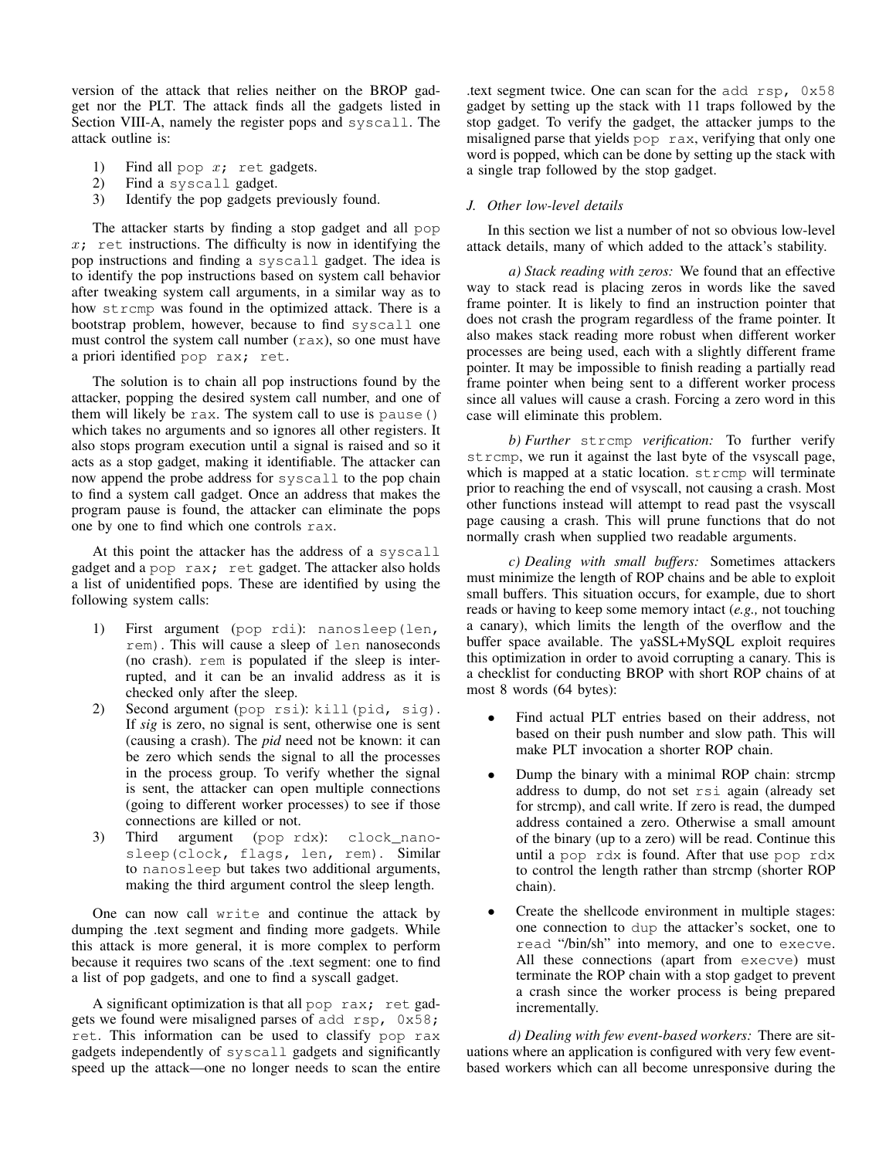version of the attack that relies neither on the BROP gadget nor the PLT. The attack finds all the gadgets listed in Section [VIII-A,](#page-4-3) namely the register pops and syscall. The attack outline is:

- 1) Find all pop  $x$ ; ret gadgets.<br>2) Find a syscall gadget.
- Find a syscall gadget.
- 3) Identify the pop gadgets previously found.

The attacker starts by finding a stop gadget and all pop  $x_i$  ret instructions. The difficulty is now in identifying the pop instructions and finding a syscall gadget. The idea is to identify the pop instructions based on system call behavior after tweaking system call arguments, in a similar way as to how strcmp was found in the optimized attack. There is a bootstrap problem, however, because to find syscall one must control the system call number  $(rax)$ , so one must have a priori identified pop rax; ret.

The solution is to chain all pop instructions found by the attacker, popping the desired system call number, and one of them will likely be rax. The system call to use is pause() which takes no arguments and so ignores all other registers. It also stops program execution until a signal is raised and so it acts as a stop gadget, making it identifiable. The attacker can now append the probe address for syscall to the pop chain to find a system call gadget. Once an address that makes the program pause is found, the attacker can eliminate the pops one by one to find which one controls rax.

At this point the attacker has the address of a syscall gadget and a pop rax; ret gadget. The attacker also holds a list of unidentified pops. These are identified by using the following system calls:

- 1) First argument (pop rdi): nanosleep(len, rem). This will cause a sleep of len nanoseconds (no crash). rem is populated if the sleep is interrupted, and it can be an invalid address as it is checked only after the sleep.
- 2) Second argument (pop rsi): kill(pid, sig). If *sig* is zero, no signal is sent, otherwise one is sent (causing a crash). The *pid* need not be known: it can be zero which sends the signal to all the processes in the process group. To verify whether the signal is sent, the attacker can open multiple connections (going to different worker processes) to see if those connections are killed or not.
- 3) Third argument (pop rdx): clock\_nanosleep(clock, flags, len, rem). Similar to nanosleep but takes two additional arguments, making the third argument control the sleep length.

One can now call write and continue the attack by dumping the .text segment and finding more gadgets. While this attack is more general, it is more complex to perform because it requires two scans of the .text segment: one to find a list of pop gadgets, and one to find a syscall gadget.

A significant optimization is that all pop rax; ret gadgets we found were misaligned parses of add  $\text{rsp}$ ,  $0 \times 58$ ; ret. This information can be used to classify pop rax gadgets independently of syscall gadgets and significantly speed up the attack—one no longer needs to scan the entire .text segment twice. One can scan for the add rsp, 0x58 gadget by setting up the stack with 11 traps followed by the stop gadget. To verify the gadget, the attacker jumps to the misaligned parse that yields pop rax, verifying that only one word is popped, which can be done by setting up the stack with a single trap followed by the stop gadget.

# <span id="page-8-0"></span>*J. Other low-level details*

In this section we list a number of not so obvious low-level attack details, many of which added to the attack's stability.

*a) Stack reading with zeros:* We found that an effective way to stack read is placing zeros in words like the saved frame pointer. It is likely to find an instruction pointer that does not crash the program regardless of the frame pointer. It also makes stack reading more robust when different worker processes are being used, each with a slightly different frame pointer. It may be impossible to finish reading a partially read frame pointer when being sent to a different worker process since all values will cause a crash. Forcing a zero word in this case will eliminate this problem.

*b) Further* strcmp *verification:* To further verify strcmp, we run it against the last byte of the vsyscall page, which is mapped at a static location. strcmp will terminate prior to reaching the end of vsyscall, not causing a crash. Most other functions instead will attempt to read past the vsyscall page causing a crash. This will prune functions that do not normally crash when supplied two readable arguments.

*c) Dealing with small buffers:* Sometimes attackers must minimize the length of ROP chains and be able to exploit small buffers. This situation occurs, for example, due to short reads or having to keep some memory intact (*e.g.,* not touching a canary), which limits the length of the overflow and the buffer space available. The yaSSL+MySQL exploit requires this optimization in order to avoid corrupting a canary. This is a checklist for conducting BROP with short ROP chains of at most 8 words (64 bytes):

- Find actual PLT entries based on their address, not based on their push number and slow path. This will make PLT invocation a shorter ROP chain.
- Dump the binary with a minimal ROP chain: strcmp address to dump, do not set rsi again (already set for strcmp), and call write. If zero is read, the dumped address contained a zero. Otherwise a small amount of the binary (up to a zero) will be read. Continue this until a pop rdx is found. After that use pop rdx to control the length rather than strcmp (shorter ROP chain).
- Create the shellcode environment in multiple stages: one connection to dup the attacker's socket, one to read "/bin/sh" into memory, and one to execve. All these connections (apart from execve) must terminate the ROP chain with a stop gadget to prevent a crash since the worker process is being prepared incrementally.

*d) Dealing with few event-based workers:* There are situations where an application is configured with very few eventbased workers which can all become unresponsive during the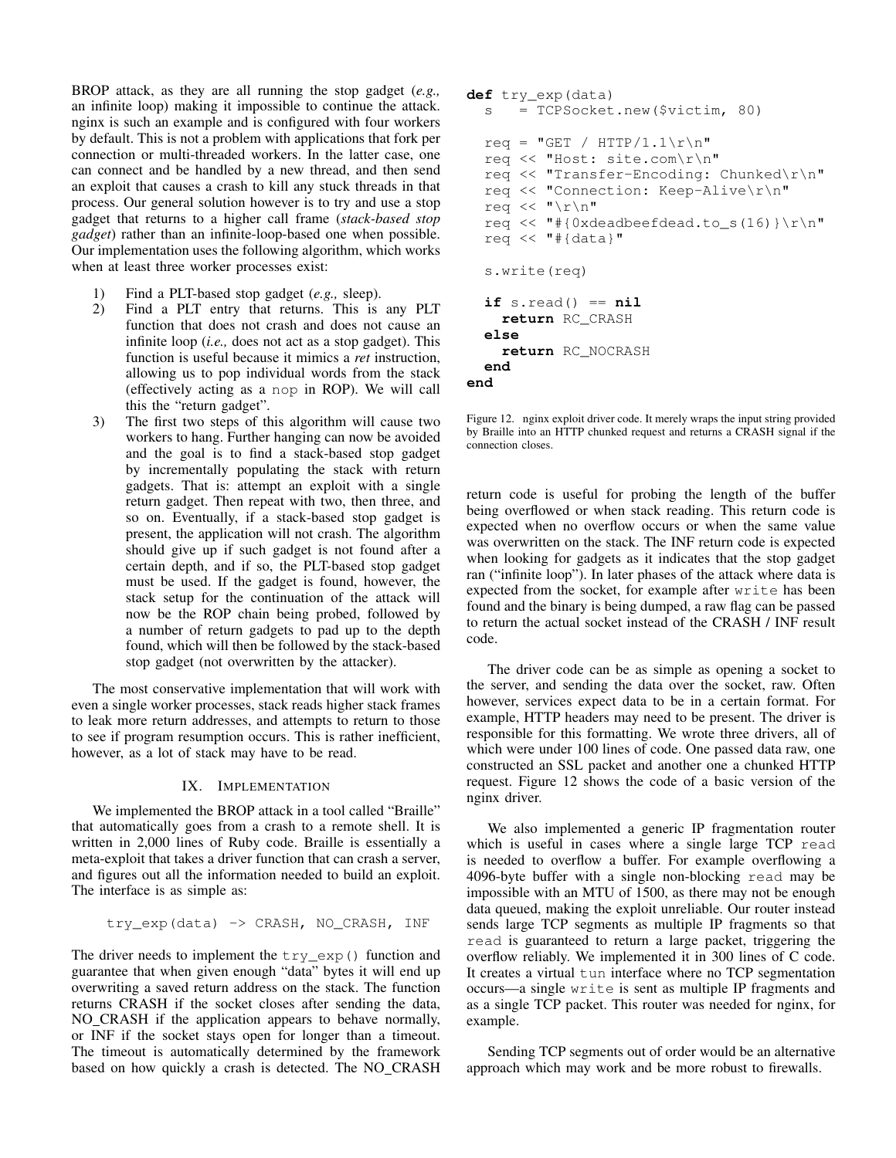BROP attack, as they are all running the stop gadget (*e.g.,* an infinite loop) making it impossible to continue the attack. nginx is such an example and is configured with four workers by default. This is not a problem with applications that fork per connection or multi-threaded workers. In the latter case, one can connect and be handled by a new thread, and then send an exploit that causes a crash to kill any stuck threads in that process. Our general solution however is to try and use a stop gadget that returns to a higher call frame (*stack-based stop gadget*) rather than an infinite-loop-based one when possible. Our implementation uses the following algorithm, which works when at least three worker processes exist:

- 1) Find a PLT-based stop gadget (*e.g.,* sleep).
- 2) Find a PLT entry that returns. This is any PLT function that does not crash and does not cause an infinite loop (*i.e.,* does not act as a stop gadget). This function is useful because it mimics a *ret* instruction, allowing us to pop individual words from the stack (effectively acting as a nop in ROP). We will call this the "return gadget".
- 3) The first two steps of this algorithm will cause two workers to hang. Further hanging can now be avoided and the goal is to find a stack-based stop gadget by incrementally populating the stack with return gadgets. That is: attempt an exploit with a single return gadget. Then repeat with two, then three, and so on. Eventually, if a stack-based stop gadget is present, the application will not crash. The algorithm should give up if such gadget is not found after a certain depth, and if so, the PLT-based stop gadget must be used. If the gadget is found, however, the stack setup for the continuation of the attack will now be the ROP chain being probed, followed by a number of return gadgets to pad up to the depth found, which will then be followed by the stack-based stop gadget (not overwritten by the attacker).

The most conservative implementation that will work with even a single worker processes, stack reads higher stack frames to leak more return addresses, and attempts to return to those to see if program resumption occurs. This is rather inefficient, however, as a lot of stack may have to be read.

# IX. IMPLEMENTATION

We implemented the BROP attack in a tool called "Braille" that automatically goes from a crash to a remote shell. It is written in 2,000 lines of Ruby code. Braille is essentially a meta-exploit that takes a driver function that can crash a server, and figures out all the information needed to build an exploit. The interface is as simple as:

```
try_exp(data) -> CRASH, NO_CRASH, INF
```
The driver needs to implement the  $try\_exp()$  function and guarantee that when given enough "data" bytes it will end up overwriting a saved return address on the stack. The function returns CRASH if the socket closes after sending the data, NO CRASH if the application appears to behave normally, or INF if the socket stays open for longer than a timeout. The timeout is automatically determined by the framework based on how quickly a crash is detected. The NO CRASH

```
def try_exp(data)
  s = TCPSocket.new($victim, 80)
  req = "GET / HTTP/1.1\r\n\req << "Host: site.com\r\n"
  req << "Transfer-Encoding: Chunked\r\n"
  req << "Connection: Keep-Alive\r\n"
  req << "\r\n"
  req << "#{0xdeadbeefdead.to_s(16)}\r\n"
  req << "\#{data}"
  s.write(req)
  if s.read() == nil
    return RC_CRASH
  else
    return RC_NOCRASH
  end
end
```
<span id="page-9-0"></span>Figure 12. nginx exploit driver code. It merely wraps the input string provided by Braille into an HTTP chunked request and returns a CRASH signal if the connection closes.

return code is useful for probing the length of the buffer being overflowed or when stack reading. This return code is expected when no overflow occurs or when the same value was overwritten on the stack. The INF return code is expected when looking for gadgets as it indicates that the stop gadget ran ("infinite loop"). In later phases of the attack where data is expected from the socket, for example after write has been found and the binary is being dumped, a raw flag can be passed to return the actual socket instead of the CRASH / INF result code.

The driver code can be as simple as opening a socket to the server, and sending the data over the socket, raw. Often however, services expect data to be in a certain format. For example, HTTP headers may need to be present. The driver is responsible for this formatting. We wrote three drivers, all of which were under 100 lines of code. One passed data raw, one constructed an SSL packet and another one a chunked HTTP request. Figure [12](#page-9-0) shows the code of a basic version of the nginx driver.

We also implemented a generic IP fragmentation router which is useful in cases where a single large TCP read is needed to overflow a buffer. For example overflowing a 4096-byte buffer with a single non-blocking read may be impossible with an MTU of 1500, as there may not be enough data queued, making the exploit unreliable. Our router instead sends large TCP segments as multiple IP fragments so that read is guaranteed to return a large packet, triggering the overflow reliably. We implemented it in 300 lines of C code. It creates a virtual tun interface where no TCP segmentation occurs—a single write is sent as multiple IP fragments and as a single TCP packet. This router was needed for nginx, for example.

Sending TCP segments out of order would be an alternative approach which may work and be more robust to firewalls.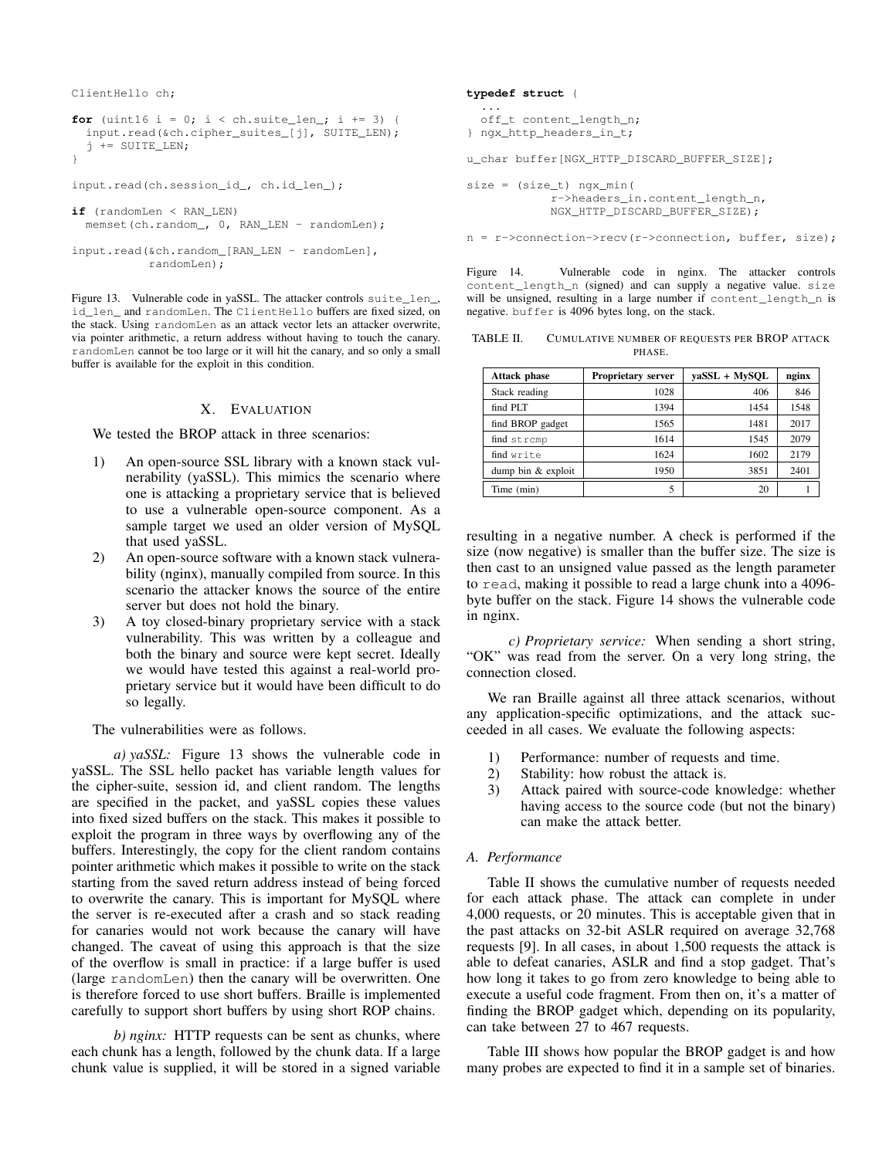ClientHello ch;

```
for (uint16 i = 0; i < ch.suite_len_; i += 3) {
 input.read(&ch.cipher_suites_[j], SUITE_LEN);
  j += SUITE_LEN;
}
```

```
input.read(ch.session_id_, ch.id_len_);
```

```
if (randomLen < RAN_LEN)
 memset(ch.random_, 0, RAN_LEN - randomLen);
```

```
input.read(&ch.random_[RAN_LEN - randomLen],
          randomLen);
```
<span id="page-10-0"></span>Figure 13. Vulnerable code in yaSSL. The attacker controls suite\_len\_, id\_len\_ and randomLen. The ClientHello buffers are fixed sized, on the stack. Using randomLen as an attack vector lets an attacker overwrite, via pointer arithmetic, a return address without having to touch the canary. randomLen cannot be too large or it will hit the canary, and so only a small buffer is available for the exploit in this condition.

## X. EVALUATION

We tested the BROP attack in three scenarios:

- 1) An open-source SSL library with a known stack vulnerability (yaSSL). This mimics the scenario where one is attacking a proprietary service that is believed to use a vulnerable open-source component. As a sample target we used an older version of MySQL that used yaSSL.
- 2) An open-source software with a known stack vulnerability (nginx), manually compiled from source. In this scenario the attacker knows the source of the entire server but does not hold the binary.
- 3) A toy closed-binary proprietary service with a stack vulnerability. This was written by a colleague and both the binary and source were kept secret. Ideally we would have tested this against a real-world proprietary service but it would have been difficult to do so legally.

The vulnerabilities were as follows.

*a) yaSSL:* Figure [13](#page-10-0) shows the vulnerable code in yaSSL. The SSL hello packet has variable length values for the cipher-suite, session id, and client random. The lengths are specified in the packet, and yaSSL copies these values into fixed sized buffers on the stack. This makes it possible to exploit the program in three ways by overflowing any of the buffers. Interestingly, the copy for the client random contains pointer arithmetic which makes it possible to write on the stack starting from the saved return address instead of being forced to overwrite the canary. This is important for MySQL where the server is re-executed after a crash and so stack reading for canaries would not work because the canary will have changed. The caveat of using this approach is that the size of the overflow is small in practice: if a large buffer is used (large randomLen) then the canary will be overwritten. One is therefore forced to use short buffers. Braille is implemented carefully to support short buffers by using short ROP chains.

*b) nginx:* HTTP requests can be sent as chunks, where each chunk has a length, followed by the chunk data. If a large chunk value is supplied, it will be stored in a signed variable

#### **typedef struct** {

```
...
  off_t content_length_n;
} ngx_http_headers_in_t;
```
u\_char buffer[NGX\_HTTP\_DISCARD\_BUFFER\_SIZE];

```
size = (size_t) ngx_min(
           r->headers_in.content_length_n,
            NGX_HTTP_DISCARD_BUFFER_SIZE);
```
n = r->connection->recv(r->connection, buffer, size);

<span id="page-10-1"></span>Figure 14. Vulnerable code in nginx. The attacker controls content\_length\_n (signed) and can supply a negative value. size will be unsigned, resulting in a large number if content\_length\_n is negative. buffer is 4096 bytes long, on the stack.

<span id="page-10-2"></span>TABLE II. CUMULATIVE NUMBER OF REQUESTS PER BROP ATTACK PHASE.

| <b>Attack phase</b> | Proprietary server | vaSSL + MvSOL | nginx |
|---------------------|--------------------|---------------|-------|
| Stack reading       | 1028               | 406           | 846   |
| find PLT            | 1394               | 1454          | 1548  |
| find BROP gadget    | 1565               | 1481          | 2017  |
| find strcmp         | 1614               | 1545          | 2079  |
| find write          | 1624               | 1602          | 2179  |
| dump bin & exploit  | 1950               | 3851          | 2401  |
| Time (min)          | 5                  | 20            |       |

resulting in a negative number. A check is performed if the size (now negative) is smaller than the buffer size. The size is then cast to an unsigned value passed as the length parameter to read, making it possible to read a large chunk into a 4096 byte buffer on the stack. Figure [14](#page-10-1) shows the vulnerable code in nginx.

*c) Proprietary service:* When sending a short string, "OK" was read from the server. On a very long string, the connection closed.

We ran Braille against all three attack scenarios, without any application-specific optimizations, and the attack succeeded in all cases. We evaluate the following aspects:

- 1) Performance: number of requests and time.
- 2) Stability: how robust the attack is.
- 3) Attack paired with source-code knowledge: whether having access to the source code (but not the binary) can make the attack better.

# *A. Performance*

Table [II](#page-10-2) shows the cumulative number of requests needed for each attack phase. The attack can complete in under 4,000 requests, or 20 minutes. This is acceptable given that in the past attacks on 32-bit ASLR required on average 32,768 requests [\[9\]](#page-15-8). In all cases, in about 1,500 requests the attack is able to defeat canaries, ASLR and find a stop gadget. That's how long it takes to go from zero knowledge to being able to execute a useful code fragment. From then on, it's a matter of finding the BROP gadget which, depending on its popularity, can take between 27 to 467 requests.

Table [III](#page-11-0) shows how popular the BROP gadget is and how many probes are expected to find it in a sample set of binaries.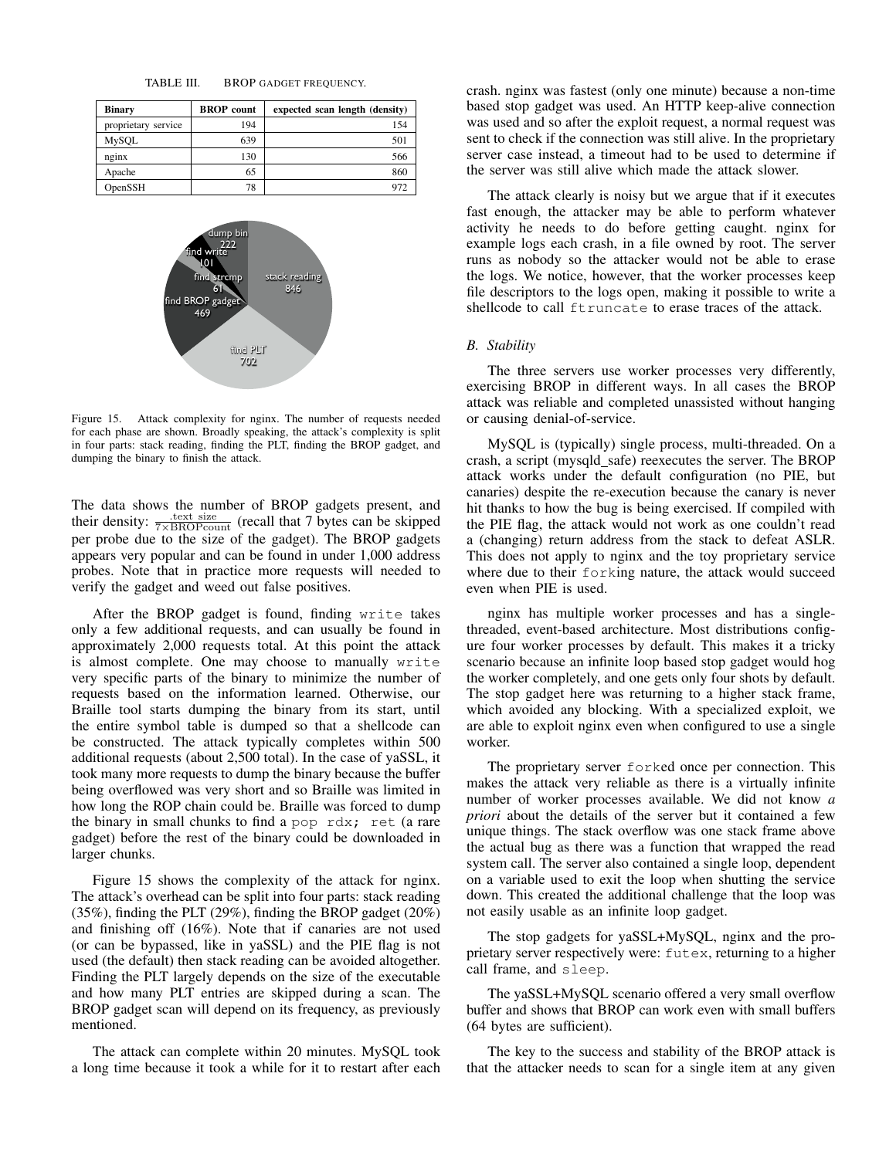<span id="page-11-0"></span>TABLE III. BROP GADGET FREQUENCY.

| <b>Binary</b>       | <b>BROP</b> count | expected scan length (density) |
|---------------------|-------------------|--------------------------------|
| proprietary service | 194               | 154                            |
| <b>MySOL</b>        | 639               | 501                            |
| nginx               | 130               | 566                            |
| Apache              | 65                | 860                            |
| OpenSSH             | 78                | 972                            |



<span id="page-11-1"></span>Figure 15. Attack complexity for nginx. The number of requests needed for each phase are shown. Broadly speaking, the attack's complexity is split in four parts: stack reading, finding the PLT, finding the BROP gadget, and dumping the binary to finish the attack.

The data shows the number of BROP gadgets present, and their density:  $\frac{\text{text size}}{7 \times \text{BROP} \text{count}}$  (recall that 7 bytes can be skipped per probe due to the size of the gadget). The BROP gadgets appears very popular and can be found in under 1,000 address probes. Note that in practice more requests will needed to verify the gadget and weed out false positives.

After the BROP gadget is found, finding write takes only a few additional requests, and can usually be found in approximately 2,000 requests total. At this point the attack is almost complete. One may choose to manually write very specific parts of the binary to minimize the number of requests based on the information learned. Otherwise, our Braille tool starts dumping the binary from its start, until the entire symbol table is dumped so that a shellcode can be constructed. The attack typically completes within 500 additional requests (about 2,500 total). In the case of yaSSL, it took many more requests to dump the binary because the buffer being overflowed was very short and so Braille was limited in how long the ROP chain could be. Braille was forced to dump the binary in small chunks to find a pop rdx; ret (a rare gadget) before the rest of the binary could be downloaded in larger chunks.

Figure [15](#page-11-1) shows the complexity of the attack for nginx. The attack's overhead can be split into four parts: stack reading (35%), finding the PLT (29%), finding the BROP gadget (20%) and finishing off (16%). Note that if canaries are not used (or can be bypassed, like in yaSSL) and the PIE flag is not used (the default) then stack reading can be avoided altogether. Finding the PLT largely depends on the size of the executable and how many PLT entries are skipped during a scan. The BROP gadget scan will depend on its frequency, as previously mentioned.

The attack can complete within 20 minutes. MySQL took a long time because it took a while for it to restart after each crash. nginx was fastest (only one minute) because a non-time based stop gadget was used. An HTTP keep-alive connection was used and so after the exploit request, a normal request was sent to check if the connection was still alive. In the proprietary server case instead, a timeout had to be used to determine if the server was still alive which made the attack slower.

The attack clearly is noisy but we argue that if it executes fast enough, the attacker may be able to perform whatever activity he needs to do before getting caught. nginx for example logs each crash, in a file owned by root. The server runs as nobody so the attacker would not be able to erase the logs. We notice, however, that the worker processes keep file descriptors to the logs open, making it possible to write a shellcode to call ftruncate to erase traces of the attack.

## *B. Stability*

The three servers use worker processes very differently, exercising BROP in different ways. In all cases the BROP attack was reliable and completed unassisted without hanging or causing denial-of-service.

MySQL is (typically) single process, multi-threaded. On a crash, a script (mysqld\_safe) reexecutes the server. The BROP attack works under the default configuration (no PIE, but canaries) despite the re-execution because the canary is never hit thanks to how the bug is being exercised. If compiled with the PIE flag, the attack would not work as one couldn't read a (changing) return address from the stack to defeat ASLR. This does not apply to nginx and the toy proprietary service where due to their forking nature, the attack would succeed even when PIE is used.

nginx has multiple worker processes and has a singlethreaded, event-based architecture. Most distributions configure four worker processes by default. This makes it a tricky scenario because an infinite loop based stop gadget would hog the worker completely, and one gets only four shots by default. The stop gadget here was returning to a higher stack frame, which avoided any blocking. With a specialized exploit, we are able to exploit nginx even when configured to use a single worker.

The proprietary server forked once per connection. This makes the attack very reliable as there is a virtually infinite number of worker processes available. We did not know *a priori* about the details of the server but it contained a few unique things. The stack overflow was one stack frame above the actual bug as there was a function that wrapped the read system call. The server also contained a single loop, dependent on a variable used to exit the loop when shutting the service down. This created the additional challenge that the loop was not easily usable as an infinite loop gadget.

The stop gadgets for yaSSL+MySQL, nginx and the proprietary server respectively were: futex, returning to a higher call frame, and sleep.

The yaSSL+MySQL scenario offered a very small overflow buffer and shows that BROP can work even with small buffers (64 bytes are sufficient).

The key to the success and stability of the BROP attack is that the attacker needs to scan for a single item at any given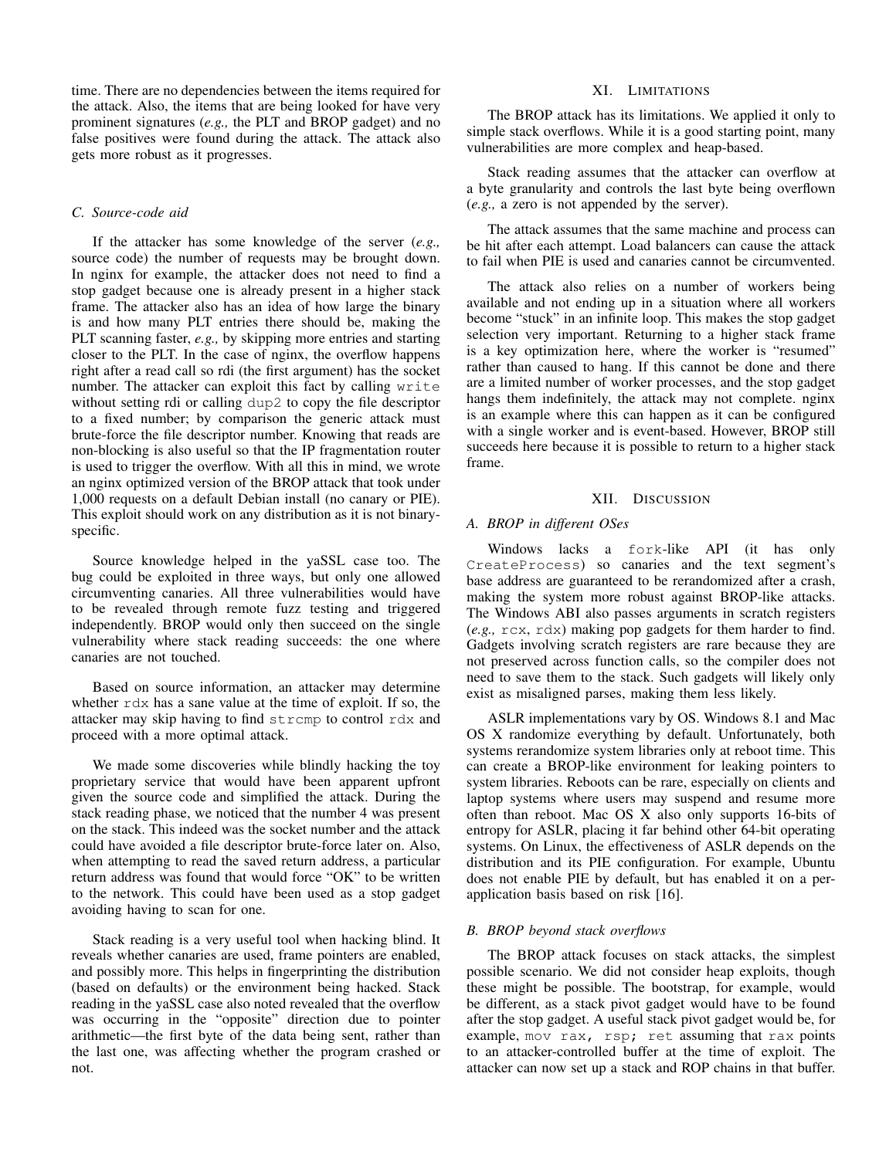time. There are no dependencies between the items required for the attack. Also, the items that are being looked for have very prominent signatures (*e.g.,* the PLT and BROP gadget) and no false positives were found during the attack. The attack also gets more robust as it progresses.

# *C. Source-code aid*

If the attacker has some knowledge of the server (*e.g.,* source code) the number of requests may be brought down. In nginx for example, the attacker does not need to find a stop gadget because one is already present in a higher stack frame. The attacker also has an idea of how large the binary is and how many PLT entries there should be, making the PLT scanning faster, *e.g.,* by skipping more entries and starting closer to the PLT. In the case of nginx, the overflow happens right after a read call so rdi (the first argument) has the socket number. The attacker can exploit this fact by calling write without setting rdi or calling dup2 to copy the file descriptor to a fixed number; by comparison the generic attack must brute-force the file descriptor number. Knowing that reads are non-blocking is also useful so that the IP fragmentation router is used to trigger the overflow. With all this in mind, we wrote an nginx optimized version of the BROP attack that took under 1,000 requests on a default Debian install (no canary or PIE). This exploit should work on any distribution as it is not binaryspecific.

Source knowledge helped in the yaSSL case too. The bug could be exploited in three ways, but only one allowed circumventing canaries. All three vulnerabilities would have to be revealed through remote fuzz testing and triggered independently. BROP would only then succeed on the single vulnerability where stack reading succeeds: the one where canaries are not touched.

Based on source information, an attacker may determine whether  $r dx$  has a sane value at the time of exploit. If so, the attacker may skip having to find strcmp to control rdx and proceed with a more optimal attack.

We made some discoveries while blindly hacking the toy proprietary service that would have been apparent upfront given the source code and simplified the attack. During the stack reading phase, we noticed that the number 4 was present on the stack. This indeed was the socket number and the attack could have avoided a file descriptor brute-force later on. Also, when attempting to read the saved return address, a particular return address was found that would force "OK" to be written to the network. This could have been used as a stop gadget avoiding having to scan for one.

Stack reading is a very useful tool when hacking blind. It reveals whether canaries are used, frame pointers are enabled, and possibly more. This helps in fingerprinting the distribution (based on defaults) or the environment being hacked. Stack reading in the yaSSL case also noted revealed that the overflow was occurring in the "opposite" direction due to pointer arithmetic—the first byte of the data being sent, rather than the last one, was affecting whether the program crashed or not.

# XI. LIMITATIONS

The BROP attack has its limitations. We applied it only to simple stack overflows. While it is a good starting point, many vulnerabilities are more complex and heap-based.

Stack reading assumes that the attacker can overflow at a byte granularity and controls the last byte being overflown (*e.g.,* a zero is not appended by the server).

The attack assumes that the same machine and process can be hit after each attempt. Load balancers can cause the attack to fail when PIE is used and canaries cannot be circumvented.

The attack also relies on a number of workers being available and not ending up in a situation where all workers become "stuck" in an infinite loop. This makes the stop gadget selection very important. Returning to a higher stack frame is a key optimization here, where the worker is "resumed" rather than caused to hang. If this cannot be done and there are a limited number of worker processes, and the stop gadget hangs them indefinitely, the attack may not complete. nginx is an example where this can happen as it can be configured with a single worker and is event-based. However, BROP still succeeds here because it is possible to return to a higher stack frame.

# XII. DISCUSSION

# *A. BROP in different OSes*

Windows lacks a fork-like API (it has only CreateProcess) so canaries and the text segment's base address are guaranteed to be rerandomized after a crash, making the system more robust against BROP-like attacks. The Windows ABI also passes arguments in scratch registers (*e.g.,* rcx, rdx) making pop gadgets for them harder to find. Gadgets involving scratch registers are rare because they are not preserved across function calls, so the compiler does not need to save them to the stack. Such gadgets will likely only exist as misaligned parses, making them less likely.

ASLR implementations vary by OS. Windows 8.1 and Mac OS X randomize everything by default. Unfortunately, both systems rerandomize system libraries only at reboot time. This can create a BROP-like environment for leaking pointers to system libraries. Reboots can be rare, especially on clients and laptop systems where users may suspend and resume more often than reboot. Mac OS X also only supports 16-bits of entropy for ASLR, placing it far behind other 64-bit operating systems. On Linux, the effectiveness of ASLR depends on the distribution and its PIE configuration. For example, Ubuntu does not enable PIE by default, but has enabled it on a perapplication basis based on risk [\[16\]](#page-15-15).

## *B. BROP beyond stack overflows*

The BROP attack focuses on stack attacks, the simplest possible scenario. We did not consider heap exploits, though these might be possible. The bootstrap, for example, would be different, as a stack pivot gadget would have to be found after the stop gadget. A useful stack pivot gadget would be, for example, mov rax, rsp; ret assuming that rax points to an attacker-controlled buffer at the time of exploit. The attacker can now set up a stack and ROP chains in that buffer.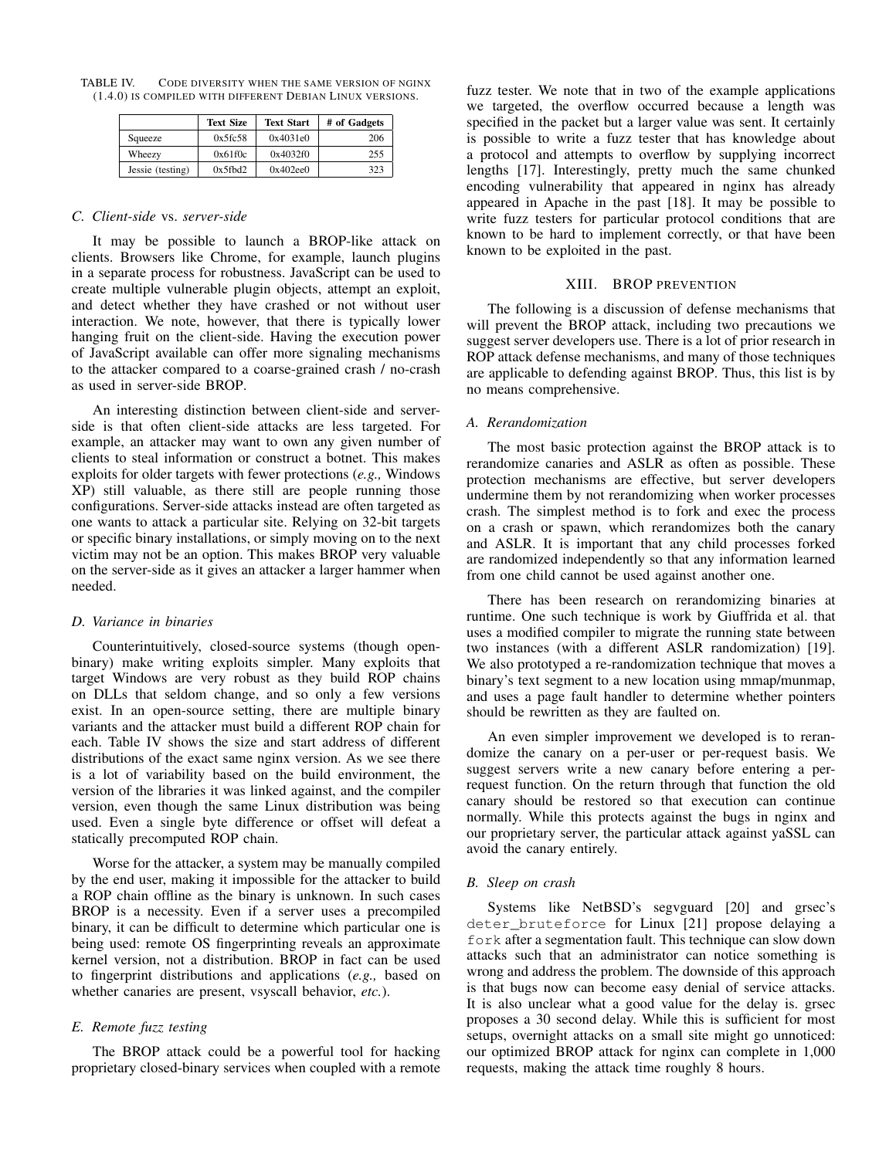TABLE IV. CODE DIVERSITY WHEN THE SAME VERSION OF NGINX (1.4.0) IS COMPILED WITH DIFFERENT DEBIAN LINUX VERSIONS.

<span id="page-13-0"></span>

|                  | <b>Text Size</b> | <b>Text Start</b> | # of Gadgets |
|------------------|------------------|-------------------|--------------|
| Squeeze          | 0x5fc58          | 0x4031e0          | 206          |
| Wheezy           | 0x61f0c          | 0x4032f0          | 255          |
| Jessie (testing) | 0x5fbd2          | 0x402ee0          | 323          |

## *C. Client-side* vs. *server-side*

It may be possible to launch a BROP-like attack on clients. Browsers like Chrome, for example, launch plugins in a separate process for robustness. JavaScript can be used to create multiple vulnerable plugin objects, attempt an exploit, and detect whether they have crashed or not without user interaction. We note, however, that there is typically lower hanging fruit on the client-side. Having the execution power of JavaScript available can offer more signaling mechanisms to the attacker compared to a coarse-grained crash / no-crash as used in server-side BROP.

An interesting distinction between client-side and serverside is that often client-side attacks are less targeted. For example, an attacker may want to own any given number of clients to steal information or construct a botnet. This makes exploits for older targets with fewer protections (*e.g.,* Windows XP) still valuable, as there still are people running those configurations. Server-side attacks instead are often targeted as one wants to attack a particular site. Relying on 32-bit targets or specific binary installations, or simply moving on to the next victim may not be an option. This makes BROP very valuable on the server-side as it gives an attacker a larger hammer when needed.

## *D. Variance in binaries*

Counterintuitively, closed-source systems (though openbinary) make writing exploits simpler. Many exploits that target Windows are very robust as they build ROP chains on DLLs that seldom change, and so only a few versions exist. In an open-source setting, there are multiple binary variants and the attacker must build a different ROP chain for each. Table [IV](#page-13-0) shows the size and start address of different distributions of the exact same nginx version. As we see there is a lot of variability based on the build environment, the version of the libraries it was linked against, and the compiler version, even though the same Linux distribution was being used. Even a single byte difference or offset will defeat a statically precomputed ROP chain.

Worse for the attacker, a system may be manually compiled by the end user, making it impossible for the attacker to build a ROP chain offline as the binary is unknown. In such cases BROP is a necessity. Even if a server uses a precompiled binary, it can be difficult to determine which particular one is being used: remote OS fingerprinting reveals an approximate kernel version, not a distribution. BROP in fact can be used to fingerprint distributions and applications (*e.g.,* based on whether canaries are present, vsyscall behavior, *etc.*).

# *E. Remote fuzz testing*

The BROP attack could be a powerful tool for hacking proprietary closed-binary services when coupled with a remote fuzz tester. We note that in two of the example applications we targeted, the overflow occurred because a length was specified in the packet but a larger value was sent. It certainly is possible to write a fuzz tester that has knowledge about a protocol and attempts to overflow by supplying incorrect lengths [\[17\]](#page-15-16). Interestingly, pretty much the same chunked encoding vulnerability that appeared in nginx has already appeared in Apache in the past [\[18\]](#page-15-17). It may be possible to write fuzz testers for particular protocol conditions that are known to be hard to implement correctly, or that have been known to be exploited in the past.

#### XIII. BROP PREVENTION

The following is a discussion of defense mechanisms that will prevent the BROP attack, including two precautions we suggest server developers use. There is a lot of prior research in ROP attack defense mechanisms, and many of those techniques are applicable to defending against BROP. Thus, this list is by no means comprehensive.

## *A. Rerandomization*

The most basic protection against the BROP attack is to rerandomize canaries and ASLR as often as possible. These protection mechanisms are effective, but server developers undermine them by not rerandomizing when worker processes crash. The simplest method is to fork and exec the process on a crash or spawn, which rerandomizes both the canary and ASLR. It is important that any child processes forked are randomized independently so that any information learned from one child cannot be used against another one.

There has been research on rerandomizing binaries at runtime. One such technique is work by Giuffrida et al. that uses a modified compiler to migrate the running state between two instances (with a different ASLR randomization) [\[19\]](#page-15-18). We also prototyped a re-randomization technique that moves a binary's text segment to a new location using mmap/munmap, and uses a page fault handler to determine whether pointers should be rewritten as they are faulted on.

An even simpler improvement we developed is to rerandomize the canary on a per-user or per-request basis. We suggest servers write a new canary before entering a perrequest function. On the return through that function the old canary should be restored so that execution can continue normally. While this protects against the bugs in nginx and our proprietary server, the particular attack against yaSSL can avoid the canary entirely.

#### *B. Sleep on crash*

Systems like NetBSD's segvguard [\[20\]](#page-15-19) and grsec's deter\_bruteforce for Linux [\[21\]](#page-15-20) propose delaying a fork after a segmentation fault. This technique can slow down attacks such that an administrator can notice something is wrong and address the problem. The downside of this approach is that bugs now can become easy denial of service attacks. It is also unclear what a good value for the delay is. grsec proposes a 30 second delay. While this is sufficient for most setups, overnight attacks on a small site might go unnoticed: our optimized BROP attack for nginx can complete in 1,000 requests, making the attack time roughly 8 hours.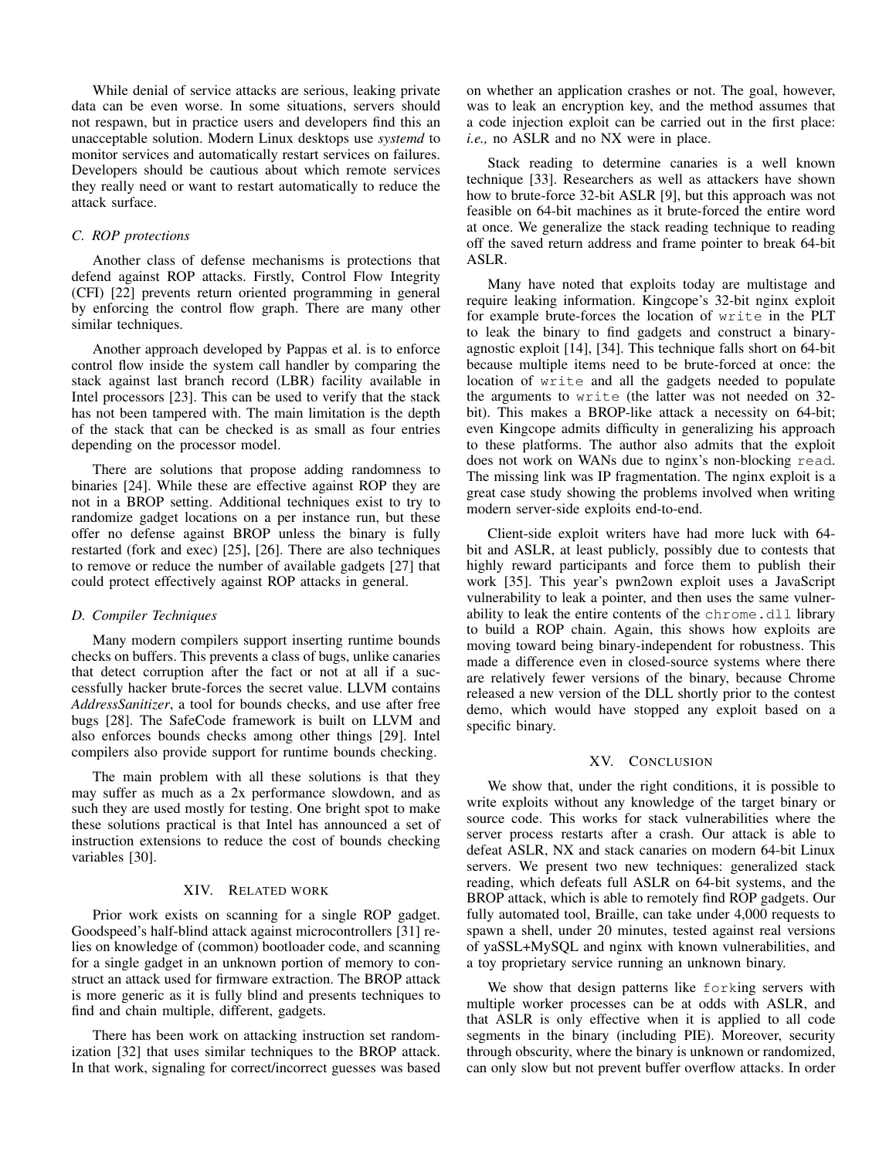While denial of service attacks are serious, leaking private data can be even worse. In some situations, servers should not respawn, but in practice users and developers find this an unacceptable solution. Modern Linux desktops use *systemd* to monitor services and automatically restart services on failures. Developers should be cautious about which remote services they really need or want to restart automatically to reduce the attack surface.

# *C. ROP protections*

Another class of defense mechanisms is protections that defend against ROP attacks. Firstly, Control Flow Integrity (CFI) [\[22\]](#page-15-21) prevents return oriented programming in general by enforcing the control flow graph. There are many other similar techniques.

Another approach developed by Pappas et al. is to enforce control flow inside the system call handler by comparing the stack against last branch record (LBR) facility available in Intel processors [\[23\]](#page-15-22). This can be used to verify that the stack has not been tampered with. The main limitation is the depth of the stack that can be checked is as small as four entries depending on the processor model.

There are solutions that propose adding randomness to binaries [\[24\]](#page-15-23). While these are effective against ROP they are not in a BROP setting. Additional techniques exist to try to randomize gadget locations on a per instance run, but these offer no defense against BROP unless the binary is fully restarted (fork and exec) [\[25\]](#page-15-24), [\[26\]](#page-15-25). There are also techniques to remove or reduce the number of available gadgets [\[27\]](#page-15-26) that could protect effectively against ROP attacks in general.

## *D. Compiler Techniques*

Many modern compilers support inserting runtime bounds checks on buffers. This prevents a class of bugs, unlike canaries that detect corruption after the fact or not at all if a successfully hacker brute-forces the secret value. LLVM contains *AddressSanitizer*, a tool for bounds checks, and use after free bugs [\[28\]](#page-15-27). The SafeCode framework is built on LLVM and also enforces bounds checks among other things [\[29\]](#page-15-28). Intel compilers also provide support for runtime bounds checking.

The main problem with all these solutions is that they may suffer as much as a 2x performance slowdown, and as such they are used mostly for testing. One bright spot to make these solutions practical is that Intel has announced a set of instruction extensions to reduce the cost of bounds checking variables [\[30\]](#page-15-29).

# XIV. RELATED WORK

Prior work exists on scanning for a single ROP gadget. Goodspeed's half-blind attack against microcontrollers [\[31\]](#page-15-30) relies on knowledge of (common) bootloader code, and scanning for a single gadget in an unknown portion of memory to construct an attack used for firmware extraction. The BROP attack is more generic as it is fully blind and presents techniques to find and chain multiple, different, gadgets.

There has been work on attacking instruction set randomization [\[32\]](#page-15-31) that uses similar techniques to the BROP attack. In that work, signaling for correct/incorrect guesses was based on whether an application crashes or not. The goal, however, was to leak an encryption key, and the method assumes that a code injection exploit can be carried out in the first place: *i.e.,* no ASLR and no NX were in place.

Stack reading to determine canaries is a well known technique [\[33\]](#page-15-32). Researchers as well as attackers have shown how to brute-force 32-bit ASLR [\[9\]](#page-15-8), but this approach was not feasible on 64-bit machines as it brute-forced the entire word at once. We generalize the stack reading technique to reading off the saved return address and frame pointer to break 64-bit ASLR.

Many have noted that exploits today are multistage and require leaking information. Kingcope's 32-bit nginx exploit for example brute-forces the location of write in the PLT to leak the binary to find gadgets and construct a binaryagnostic exploit [\[14\]](#page-15-13), [\[34\]](#page-15-33). This technique falls short on 64-bit because multiple items need to be brute-forced at once: the location of write and all the gadgets needed to populate the arguments to write (the latter was not needed on 32 bit). This makes a BROP-like attack a necessity on 64-bit; even Kingcope admits difficulty in generalizing his approach to these platforms. The author also admits that the exploit does not work on WANs due to nginx's non-blocking read. The missing link was IP fragmentation. The nginx exploit is a great case study showing the problems involved when writing modern server-side exploits end-to-end.

Client-side exploit writers have had more luck with 64 bit and ASLR, at least publicly, possibly due to contests that highly reward participants and force them to publish their work [\[35\]](#page-15-34). This year's pwn2own exploit uses a JavaScript vulnerability to leak a pointer, and then uses the same vulnerability to leak the entire contents of the chrome.dll library to build a ROP chain. Again, this shows how exploits are moving toward being binary-independent for robustness. This made a difference even in closed-source systems where there are relatively fewer versions of the binary, because Chrome released a new version of the DLL shortly prior to the contest demo, which would have stopped any exploit based on a specific binary.

## XV. CONCLUSION

We show that, under the right conditions, it is possible to write exploits without any knowledge of the target binary or source code. This works for stack vulnerabilities where the server process restarts after a crash. Our attack is able to defeat ASLR, NX and stack canaries on modern 64-bit Linux servers. We present two new techniques: generalized stack reading, which defeats full ASLR on 64-bit systems, and the BROP attack, which is able to remotely find ROP gadgets. Our fully automated tool, Braille, can take under 4,000 requests to spawn a shell, under 20 minutes, tested against real versions of yaSSL+MySQL and nginx with known vulnerabilities, and a toy proprietary service running an unknown binary.

We show that design patterns like forking servers with multiple worker processes can be at odds with ASLR, and that ASLR is only effective when it is applied to all code segments in the binary (including PIE). Moreover, security through obscurity, where the binary is unknown or randomized, can only slow but not prevent buffer overflow attacks. In order